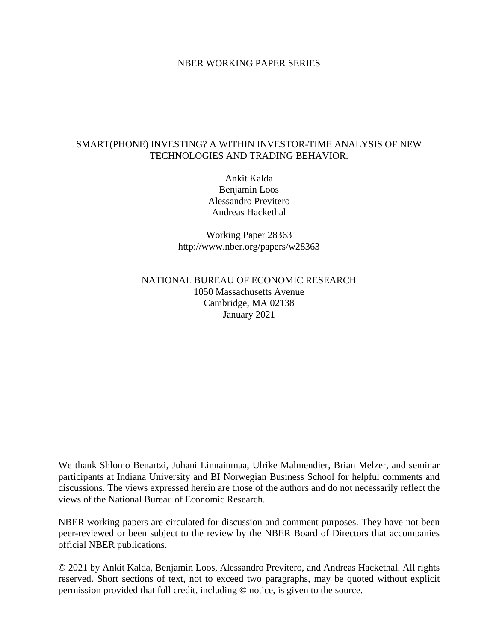#### NBER WORKING PAPER SERIES

#### SMART(PHONE) INVESTING? A WITHIN INVESTOR-TIME ANALYSIS OF NEW TECHNOLOGIES AND TRADING BEHAVIOR.

Ankit Kalda Benjamin Loos Alessandro Previtero Andreas Hackethal

Working Paper 28363 http://www.nber.org/papers/w28363

NATIONAL BUREAU OF ECONOMIC RESEARCH 1050 Massachusetts Avenue Cambridge, MA 02138 January 2021

We thank Shlomo Benartzi, Juhani Linnainmaa, Ulrike Malmendier, Brian Melzer, and seminar participants at Indiana University and BI Norwegian Business School for helpful comments and discussions. The views expressed herein are those of the authors and do not necessarily reflect the views of the National Bureau of Economic Research.

NBER working papers are circulated for discussion and comment purposes. They have not been peer-reviewed or been subject to the review by the NBER Board of Directors that accompanies official NBER publications.

© 2021 by Ankit Kalda, Benjamin Loos, Alessandro Previtero, and Andreas Hackethal. All rights reserved. Short sections of text, not to exceed two paragraphs, may be quoted without explicit permission provided that full credit, including © notice, is given to the source.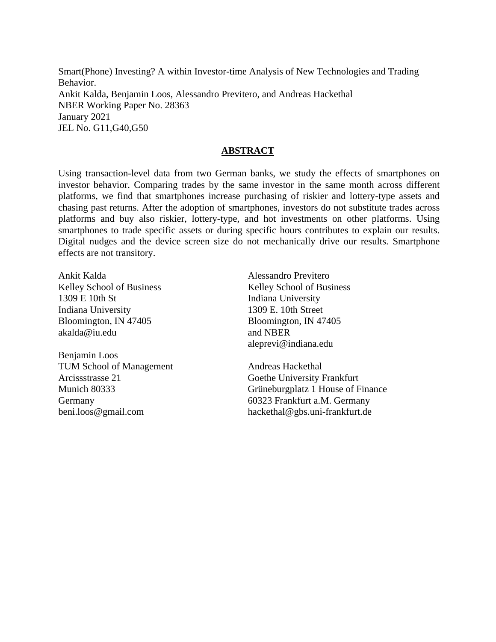Smart(Phone) Investing? A within Investor-time Analysis of New Technologies and Trading Behavior. Ankit Kalda, Benjamin Loos, Alessandro Previtero, and Andreas Hackethal NBER Working Paper No. 28363 January 2021 JEL No. G11,G40,G50

#### **ABSTRACT**

Using transaction-level data from two German banks, we study the effects of smartphones on investor behavior. Comparing trades by the same investor in the same month across different platforms, we find that smartphones increase purchasing of riskier and lottery-type assets and chasing past returns. After the adoption of smartphones, investors do not substitute trades across platforms and buy also riskier, lottery-type, and hot investments on other platforms. Using smartphones to trade specific assets or during specific hours contributes to explain our results. Digital nudges and the device screen size do not mechanically drive our results. Smartphone effects are not transitory.

Ankit Kalda Kelley School of Business 1309 E 10th St Indiana University Bloomington, IN 47405 akalda@iu.edu

Benjamin Loos TUM School of Management Arcissstrasse 21 Munich 80333 Germany beni.loos@gmail.com

Alessandro Previtero Kelley School of Business Indiana University 1309 E. 10th Street Bloomington, IN 47405 and NBER aleprevi@indiana.edu

Andreas Hackethal Goethe University Frankfurt Grüneburgplatz 1 House of Finance 60323 Frankfurt a.M. Germany hackethal@gbs.uni-frankfurt.de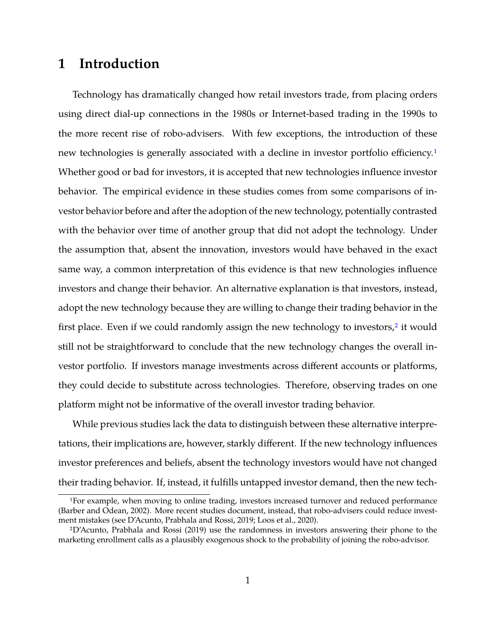# **1 Introduction**

Technology has dramatically changed how retail investors trade, from placing orders using direct dial-up connections in the 1980s or Internet-based trading in the 1990s to the more recent rise of robo-advisers. With few exceptions, the introduction of these new technologies is generally associated with a decline in investor portfolio efficiency.<sup>[1](#page-2-0)</sup> Whether good or bad for investors, it is accepted that new technologies influence investor behavior. The empirical evidence in these studies comes from some comparisons of investor behavior before and after the adoption of the new technology, potentially contrasted with the behavior over time of another group that did not adopt the technology. Under the assumption that, absent the innovation, investors would have behaved in the exact same way, a common interpretation of this evidence is that new technologies influence investors and change their behavior. An alternative explanation is that investors, instead, adopt the new technology because they are willing to change their trading behavior in the first place. Even if we could randomly assign the new technology to investors, $2$  it would still not be straightforward to conclude that the new technology changes the overall investor portfolio. If investors manage investments across different accounts or platforms, they could decide to substitute across technologies. Therefore, observing trades on one platform might not be informative of the overall investor trading behavior.

While previous studies lack the data to distinguish between these alternative interpretations, their implications are, however, starkly different. If the new technology influences investor preferences and beliefs, absent the technology investors would have not changed their trading behavior. If, instead, it fulfills untapped investor demand, then the new tech-

<span id="page-2-0"></span><sup>1</sup>For example, when moving to online trading, investors increased turnover and reduced performance (Barber and Odean, 2002). More recent studies document, instead, that robo-advisers could reduce investment mistakes (see D'Acunto, Prabhala and Rossi, 2019; Loos et al., 2020).

<span id="page-2-1"></span><sup>2</sup>D'Acunto, Prabhala and Rossi (2019) use the randomness in investors answering their phone to the marketing enrollment calls as a plausibly exogenous shock to the probability of joining the robo-advisor.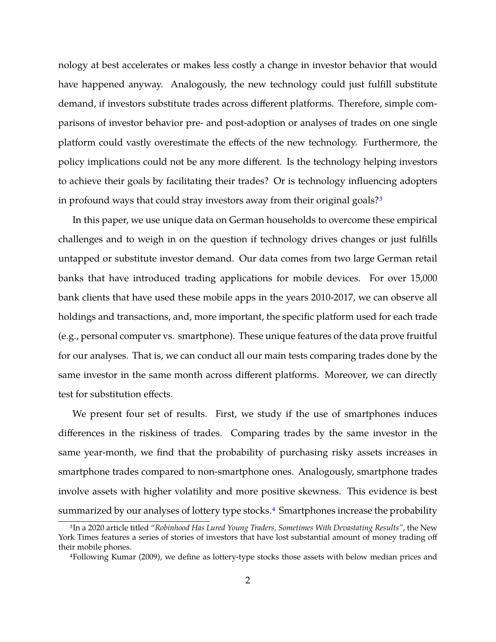nology at best accelerates or makes less costly a change in investor behavior that would have happened anyway. Analogously, the new technology could just fulfill substitute demand, if investors substitute trades across different platforms. Therefore, simple comparisons of investor behavior pre- and post-adoption or analyses of trades on one single platform could vastly overestimate the effects of the new technology. Furthermore, the policy implications could not be any more different. Is the technology helping investors to achieve their goals by facilitating their trades? Or is technology influencing adopters in profound ways that could stray investors away from their original goals?<sup>[3](#page-3-0)</sup>

In this paper, we use unique data on German households to overcome these empirical challenges and to weigh in on the question if technology drives changes or just fulfills untapped or substitute investor demand. Our data comes from two large German retail banks that have introduced trading applications for mobile devices. For over 15,000 bank clients that have used these mobile apps in the years 2010-2017, we can observe all holdings and transactions, and, more important, the specific platform used for each trade (e.g., personal computer vs. smartphone). These unique features of the data prove fruitful for our analyses. That is, we can conduct all our main tests comparing trades done by the same investor in the same month across different platforms. Moreover, we can directly test for substitution effects.

We present four set of results. First, we study if the use of smartphones induces differences in the riskiness of trades. Comparing trades by the same investor in the same year-month, we find that the probability of purchasing risky assets increases in smartphone trades compared to non-smartphone ones. Analogously, smartphone trades involve assets with higher volatility and more positive skewness. This evidence is best summarized by our analyses of lottery type stocks.<sup>[4](#page-3-1)</sup> Smartphones increase the probability

<span id="page-3-0"></span><sup>3</sup>In a 2020 article titled "*Robinhood Has Lured Young Traders, Sometimes With Devastating Results"*, the New York Times features a series of stories of investors that have lost substantial amount of money trading off their mobile phones.

<span id="page-3-1"></span><sup>4</sup>Following Kumar (2009), we define as lottery-type stocks those assets with below median prices and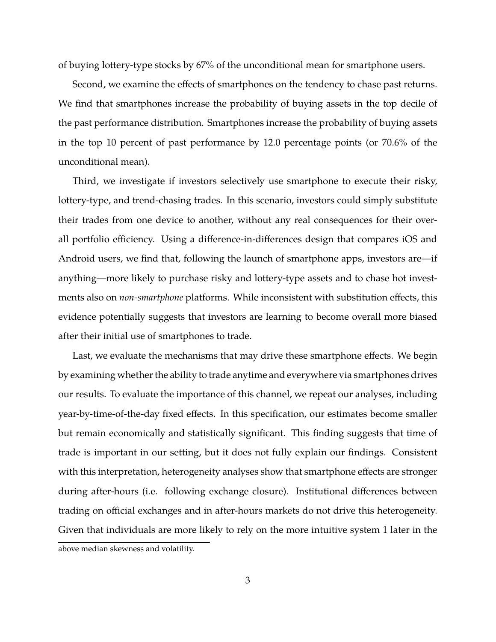of buying lottery-type stocks by 67% of the unconditional mean for smartphone users.

Second, we examine the effects of smartphones on the tendency to chase past returns. We find that smartphones increase the probability of buying assets in the top decile of the past performance distribution. Smartphones increase the probability of buying assets in the top 10 percent of past performance by 12.0 percentage points (or 70.6% of the unconditional mean).

Third, we investigate if investors selectively use smartphone to execute their risky, lottery-type, and trend-chasing trades. In this scenario, investors could simply substitute their trades from one device to another, without any real consequences for their overall portfolio efficiency. Using a difference-in-differences design that compares iOS and Android users, we find that, following the launch of smartphone apps, investors are—if anything—more likely to purchase risky and lottery-type assets and to chase hot investments also on *non-smartphone* platforms. While inconsistent with substitution effects, this evidence potentially suggests that investors are learning to become overall more biased after their initial use of smartphones to trade.

Last, we evaluate the mechanisms that may drive these smartphone effects. We begin by examining whether the ability to trade anytime and everywhere via smartphones drives our results. To evaluate the importance of this channel, we repeat our analyses, including year-by-time-of-the-day fixed effects. In this specification, our estimates become smaller but remain economically and statistically significant. This finding suggests that time of trade is important in our setting, but it does not fully explain our findings. Consistent with this interpretation, heterogeneity analyses show that smartphone effects are stronger during after-hours (i.e. following exchange closure). Institutional differences between trading on official exchanges and in after-hours markets do not drive this heterogeneity. Given that individuals are more likely to rely on the more intuitive system 1 later in the above median skewness and volatility.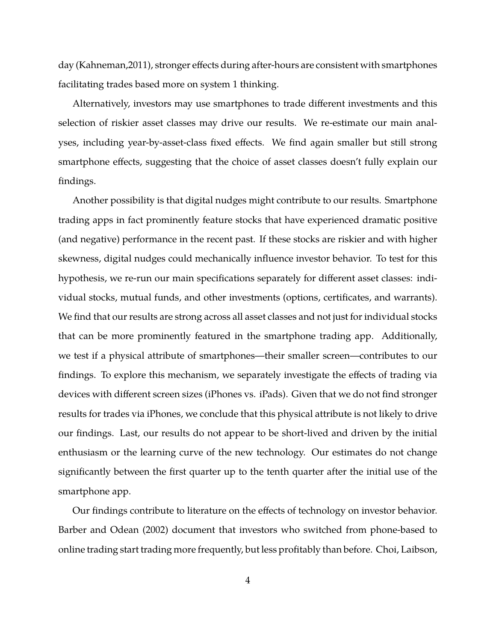day (Kahneman,2011), stronger effects during after-hours are consistent with smartphones facilitating trades based more on system 1 thinking.

Alternatively, investors may use smartphones to trade different investments and this selection of riskier asset classes may drive our results. We re-estimate our main analyses, including year-by-asset-class fixed effects. We find again smaller but still strong smartphone effects, suggesting that the choice of asset classes doesn't fully explain our findings.

Another possibility is that digital nudges might contribute to our results. Smartphone trading apps in fact prominently feature stocks that have experienced dramatic positive (and negative) performance in the recent past. If these stocks are riskier and with higher skewness, digital nudges could mechanically influence investor behavior. To test for this hypothesis, we re-run our main specifications separately for different asset classes: individual stocks, mutual funds, and other investments (options, certificates, and warrants). We find that our results are strong across all asset classes and not just for individual stocks that can be more prominently featured in the smartphone trading app. Additionally, we test if a physical attribute of smartphones—their smaller screen—contributes to our findings. To explore this mechanism, we separately investigate the effects of trading via devices with different screen sizes (iPhones vs. iPads). Given that we do not find stronger results for trades via iPhones, we conclude that this physical attribute is not likely to drive our findings. Last, our results do not appear to be short-lived and driven by the initial enthusiasm or the learning curve of the new technology. Our estimates do not change significantly between the first quarter up to the tenth quarter after the initial use of the smartphone app.

Our findings contribute to literature on the effects of technology on investor behavior. Barber and Odean (2002) document that investors who switched from phone-based to online trading start trading more frequently, but less profitably than before. Choi, Laibson,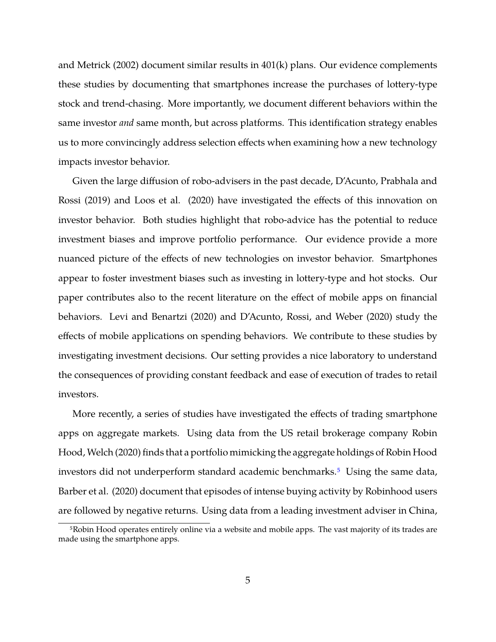and Metrick (2002) document similar results in 401(k) plans. Our evidence complements these studies by documenting that smartphones increase the purchases of lottery-type stock and trend-chasing. More importantly, we document different behaviors within the same investor *and* same month, but across platforms. This identification strategy enables us to more convincingly address selection effects when examining how a new technology impacts investor behavior.

Given the large diffusion of robo-advisers in the past decade, D'Acunto, Prabhala and Rossi (2019) and Loos et al. (2020) have investigated the effects of this innovation on investor behavior. Both studies highlight that robo-advice has the potential to reduce investment biases and improve portfolio performance. Our evidence provide a more nuanced picture of the effects of new technologies on investor behavior. Smartphones appear to foster investment biases such as investing in lottery-type and hot stocks. Our paper contributes also to the recent literature on the effect of mobile apps on financial behaviors. Levi and Benartzi (2020) and D'Acunto, Rossi, and Weber (2020) study the effects of mobile applications on spending behaviors. We contribute to these studies by investigating investment decisions. Our setting provides a nice laboratory to understand the consequences of providing constant feedback and ease of execution of trades to retail investors.

More recently, a series of studies have investigated the effects of trading smartphone apps on aggregate markets. Using data from the US retail brokerage company Robin Hood, Welch (2020) finds that a portfolio mimicking the aggregate holdings of Robin Hood investors did not underperform standard academic benchmarks.<sup>[5](#page-6-0)</sup> Using the same data, Barber et al. (2020) document that episodes of intense buying activity by Robinhood users are followed by negative returns. Using data from a leading investment adviser in China,

<span id="page-6-0"></span><sup>5</sup>Robin Hood operates entirely online via a website and mobile apps. The vast majority of its trades are made using the smartphone apps.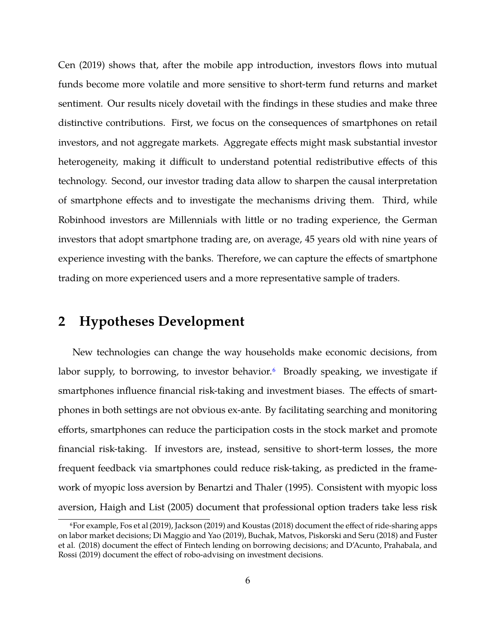Cen (2019) shows that, after the mobile app introduction, investors flows into mutual funds become more volatile and more sensitive to short-term fund returns and market sentiment. Our results nicely dovetail with the findings in these studies and make three distinctive contributions. First, we focus on the consequences of smartphones on retail investors, and not aggregate markets. Aggregate effects might mask substantial investor heterogeneity, making it difficult to understand potential redistributive effects of this technology. Second, our investor trading data allow to sharpen the causal interpretation of smartphone effects and to investigate the mechanisms driving them. Third, while Robinhood investors are Millennials with little or no trading experience, the German investors that adopt smartphone trading are, on average, 45 years old with nine years of experience investing with the banks. Therefore, we can capture the effects of smartphone trading on more experienced users and a more representative sample of traders.

# <span id="page-7-1"></span>**2 Hypotheses Development**

New technologies can change the way households make economic decisions, from labor supply, to borrowing, to investor behavior.<sup>[6](#page-7-0)</sup> Broadly speaking, we investigate if smartphones influence financial risk-taking and investment biases. The effects of smartphones in both settings are not obvious ex-ante. By facilitating searching and monitoring efforts, smartphones can reduce the participation costs in the stock market and promote financial risk-taking. If investors are, instead, sensitive to short-term losses, the more frequent feedback via smartphones could reduce risk-taking, as predicted in the framework of myopic loss aversion by Benartzi and Thaler (1995). Consistent with myopic loss aversion, Haigh and List (2005) document that professional option traders take less risk

<span id="page-7-0"></span><sup>6</sup>For example, Fos et al (2019), Jackson (2019) and Koustas (2018) document the effect of ride-sharing apps on labor market decisions; Di Maggio and Yao (2019), Buchak, Matvos, Piskorski and Seru (2018) and Fuster et al. (2018) document the effect of Fintech lending on borrowing decisions; and D'Acunto, Prahabala, and Rossi (2019) document the effect of robo-advising on investment decisions.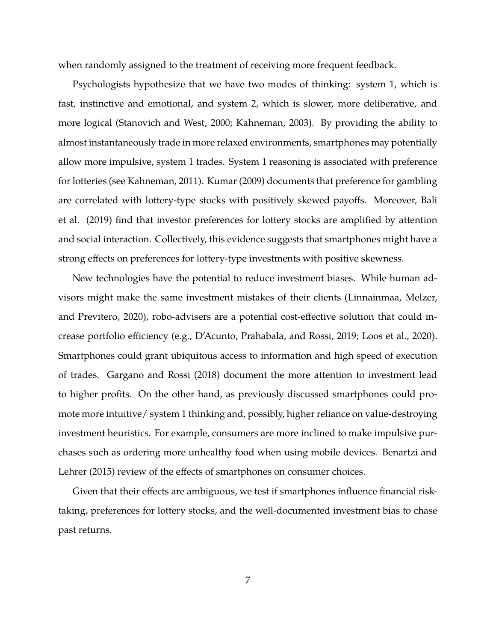when randomly assigned to the treatment of receiving more frequent feedback.

Psychologists hypothesize that we have two modes of thinking: system 1, which is fast, instinctive and emotional, and system 2, which is slower, more deliberative, and more logical (Stanovich and West, 2000; Kahneman, 2003). By providing the ability to almost instantaneously trade in more relaxed environments, smartphones may potentially allow more impulsive, system 1 trades. System 1 reasoning is associated with preference for lotteries (see Kahneman, 2011). Kumar (2009) documents that preference for gambling are correlated with lottery-type stocks with positively skewed payoffs. Moreover, Bali et al. (2019) find that investor preferences for lottery stocks are amplified by attention and social interaction. Collectively, this evidence suggests that smartphones might have a strong effects on preferences for lottery-type investments with positive skewness.

New technologies have the potential to reduce investment biases. While human advisors might make the same investment mistakes of their clients (Linnainmaa, Melzer, and Previtero, 2020), robo-advisers are a potential cost-effective solution that could increase portfolio efficiency (e.g., D'Acunto, Prahabala, and Rossi, 2019; Loos et al., 2020). Smartphones could grant ubiquitous access to information and high speed of execution of trades. Gargano and Rossi (2018) document the more attention to investment lead to higher profits. On the other hand, as previously discussed smartphones could promote more intuitive/ system 1 thinking and, possibly, higher reliance on value-destroying investment heuristics. For example, consumers are more inclined to make impulsive purchases such as ordering more unhealthy food when using mobile devices. Benartzi and Lehrer (2015) review of the effects of smartphones on consumer choices.

Given that their effects are ambiguous, we test if smartphones influence financial risktaking, preferences for lottery stocks, and the well-documented investment bias to chase past returns.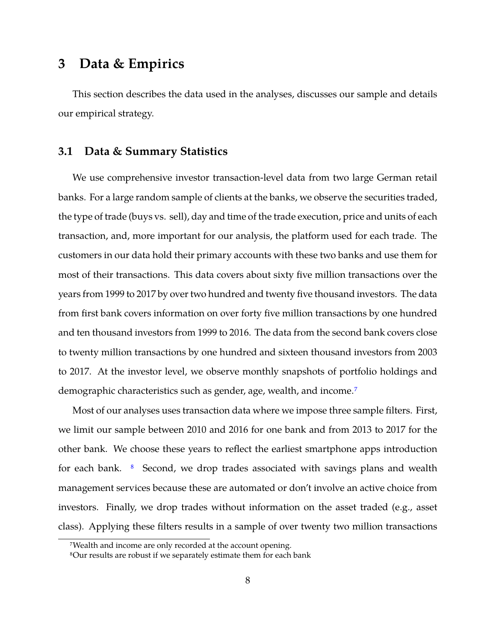# **3 Data & Empirics**

This section describes the data used in the analyses, discusses our sample and details our empirical strategy.

# **3.1 Data & Summary Statistics**

We use comprehensive investor transaction-level data from two large German retail banks. For a large random sample of clients at the banks, we observe the securities traded, the type of trade (buys vs. sell), day and time of the trade execution, price and units of each transaction, and, more important for our analysis, the platform used for each trade. The customers in our data hold their primary accounts with these two banks and use them for most of their transactions. This data covers about sixty five million transactions over the years from 1999 to 2017 by over two hundred and twenty five thousand investors. The data from first bank covers information on over forty five million transactions by one hundred and ten thousand investors from 1999 to 2016. The data from the second bank covers close to twenty million transactions by one hundred and sixteen thousand investors from 2003 to 2017. At the investor level, we observe monthly snapshots of portfolio holdings and demographic characteristics such as gender, age, wealth, and income.[7](#page-9-0)

Most of our analyses uses transaction data where we impose three sample filters. First, we limit our sample between 2010 and 2016 for one bank and from 2013 to 2017 for the other bank. We choose these years to reflect the earliest smartphone apps introduction for each bank. <sup>[8](#page-9-1)</sup> Second, we drop trades associated with savings plans and wealth management services because these are automated or don't involve an active choice from investors. Finally, we drop trades without information on the asset traded (e.g., asset class). Applying these filters results in a sample of over twenty two million transactions

<span id="page-9-0"></span><sup>7</sup>Wealth and income are only recorded at the account opening.

<span id="page-9-1"></span><sup>8</sup>Our results are robust if we separately estimate them for each bank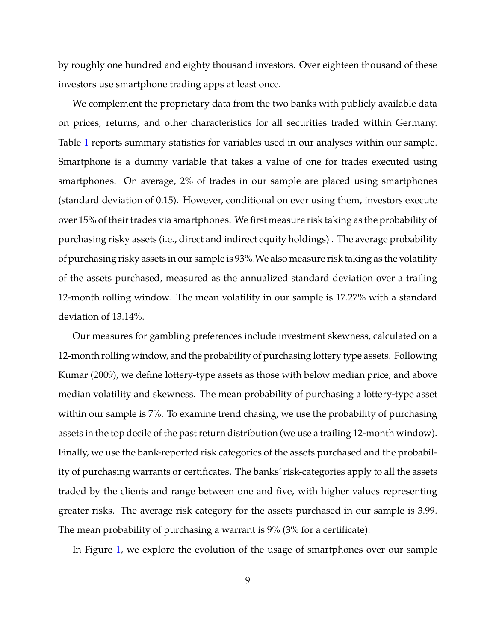by roughly one hundred and eighty thousand investors. Over eighteen thousand of these investors use smartphone trading apps at least once.

We complement the proprietary data from the two banks with publicly available data on prices, returns, and other characteristics for all securities traded within Germany. Table [1](#page-39-0) reports summary statistics for variables used in our analyses within our sample. Smartphone is a dummy variable that takes a value of one for trades executed using smartphones. On average, 2% of trades in our sample are placed using smartphones (standard deviation of 0.15). However, conditional on ever using them, investors execute over 15% of their trades via smartphones. We first measure risk taking as the probability of purchasing risky assets (i.e., direct and indirect equity holdings) . The average probability of purchasing risky assets in our sample is 93%.We also measure risk taking as the volatility of the assets purchased, measured as the annualized standard deviation over a trailing 12-month rolling window. The mean volatility in our sample is 17.27% with a standard deviation of 13.14%.

Our measures for gambling preferences include investment skewness, calculated on a 12-month rolling window, and the probability of purchasing lottery type assets. Following Kumar (2009), we define lottery-type assets as those with below median price, and above median volatility and skewness. The mean probability of purchasing a lottery-type asset within our sample is 7%. To examine trend chasing, we use the probability of purchasing assets in the top decile of the past return distribution (we use a trailing 12-month window). Finally, we use the bank-reported risk categories of the assets purchased and the probability of purchasing warrants or certificates. The banks' risk-categories apply to all the assets traded by the clients and range between one and five, with higher values representing greater risks. The average risk category for the assets purchased in our sample is 3.99. The mean probability of purchasing a warrant is 9% (3% for a certificate).

In Figure [1,](#page-32-0) we explore the evolution of the usage of smartphones over our sample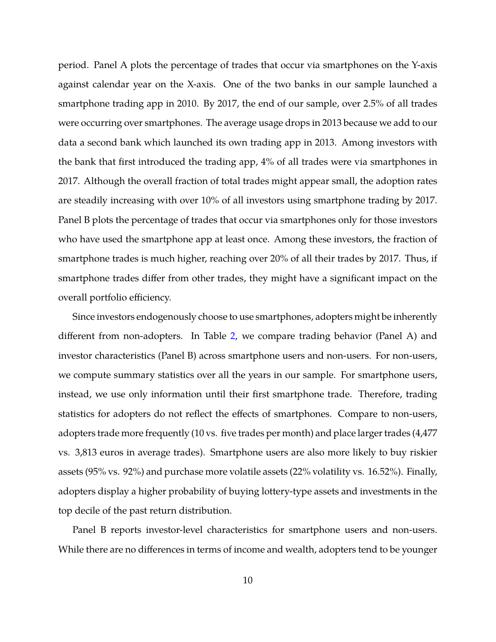period. Panel A plots the percentage of trades that occur via smartphones on the Y-axis against calendar year on the X-axis. One of the two banks in our sample launched a smartphone trading app in 2010. By 2017, the end of our sample, over 2.5% of all trades were occurring over smartphones. The average usage drops in 2013 because we add to our data a second bank which launched its own trading app in 2013. Among investors with the bank that first introduced the trading app, 4% of all trades were via smartphones in 2017. Although the overall fraction of total trades might appear small, the adoption rates are steadily increasing with over 10% of all investors using smartphone trading by 2017. Panel B plots the percentage of trades that occur via smartphones only for those investors who have used the smartphone app at least once. Among these investors, the fraction of smartphone trades is much higher, reaching over 20% of all their trades by 2017. Thus, if smartphone trades differ from other trades, they might have a significant impact on the overall portfolio efficiency.

Since investors endogenously choose to use smartphones, adopters might be inherently different from non-adopters. In Table [2,](#page-40-0) we compare trading behavior (Panel A) and investor characteristics (Panel B) across smartphone users and non-users. For non-users, we compute summary statistics over all the years in our sample. For smartphone users, instead, we use only information until their first smartphone trade. Therefore, trading statistics for adopters do not reflect the effects of smartphones. Compare to non-users, adopters trade more frequently (10 vs. five trades per month) and place larger trades (4,477 vs. 3,813 euros in average trades). Smartphone users are also more likely to buy riskier assets (95% vs. 92%) and purchase more volatile assets (22% volatility vs. 16.52%). Finally, adopters display a higher probability of buying lottery-type assets and investments in the top decile of the past return distribution.

Panel B reports investor-level characteristics for smartphone users and non-users. While there are no differences in terms of income and wealth, adopters tend to be younger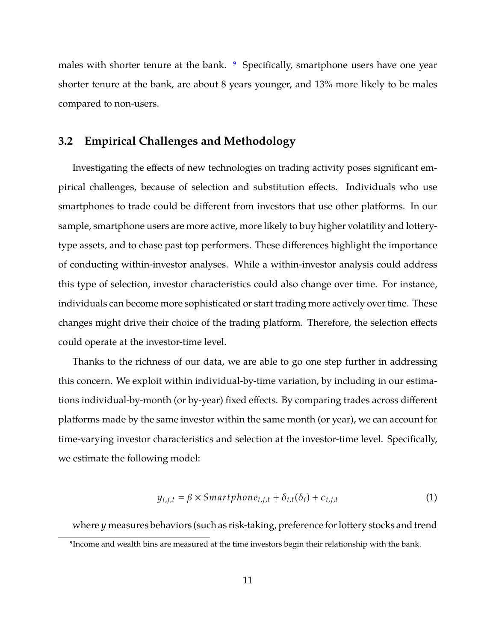males with shorter tenure at the bank. <sup>[9](#page-12-0)</sup> Specifically, smartphone users have one year shorter tenure at the bank, are about 8 years younger, and 13% more likely to be males compared to non-users.

#### <span id="page-12-2"></span>**3.2 Empirical Challenges and Methodology**

Investigating the effects of new technologies on trading activity poses significant empirical challenges, because of selection and substitution effects. Individuals who use smartphones to trade could be different from investors that use other platforms. In our sample, smartphone users are more active, more likely to buy higher volatility and lotterytype assets, and to chase past top performers. These differences highlight the importance of conducting within-investor analyses. While a within-investor analysis could address this type of selection, investor characteristics could also change over time. For instance, individuals can become more sophisticated or start trading more actively over time. These changes might drive their choice of the trading platform. Therefore, the selection effects could operate at the investor-time level.

Thanks to the richness of our data, we are able to go one step further in addressing this concern. We exploit within individual-by-time variation, by including in our estimations individual-by-month (or by-year) fixed effects. By comparing trades across different platforms made by the same investor within the same month (or year), we can account for time-varying investor characteristics and selection at the investor-time level. Specifically, we estimate the following model:

<span id="page-12-1"></span>
$$
y_{i,j,t} = \beta \times Smarithmetic_{i,j,t} + \delta_{i,t}(\delta_i) + \epsilon_{i,j,t}
$$
 (1)

where  $y$  measures behaviors (such as risk-taking, preference for lottery stocks and trend

<span id="page-12-0"></span><sup>&</sup>lt;sup>9</sup>Income and wealth bins are measured at the time investors begin their relationship with the bank.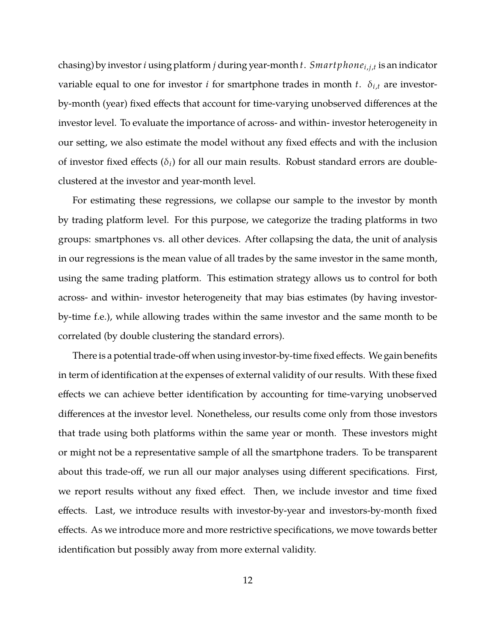chasing) by investor *i* using platform *j* during year-month *t*. *Smart phone*<sub>i,j,t</sub> is an indicator variable equal to one for investor *i* for smartphone trades in month *t*.  $\delta_{i,t}$  are investorby-month (year) fixed effects that account for time-varying unobserved differences at the investor level. To evaluate the importance of across- and within- investor heterogeneity in our setting, we also estimate the model without any fixed effects and with the inclusion of investor fixed effects  $(\delta_i)$  for all our main results. Robust standard errors are doubleclustered at the investor and year-month level.

For estimating these regressions, we collapse our sample to the investor by month by trading platform level. For this purpose, we categorize the trading platforms in two groups: smartphones vs. all other devices. After collapsing the data, the unit of analysis in our regressions is the mean value of all trades by the same investor in the same month, using the same trading platform. This estimation strategy allows us to control for both across- and within- investor heterogeneity that may bias estimates (by having investorby-time f.e.), while allowing trades within the same investor and the same month to be correlated (by double clustering the standard errors).

There is a potential trade-off when using investor-by-time fixed effects. We gain benefits in term of identification at the expenses of external validity of our results. With these fixed effects we can achieve better identification by accounting for time-varying unobserved differences at the investor level. Nonetheless, our results come only from those investors that trade using both platforms within the same year or month. These investors might or might not be a representative sample of all the smartphone traders. To be transparent about this trade-off, we run all our major analyses using different specifications. First, we report results without any fixed effect. Then, we include investor and time fixed effects. Last, we introduce results with investor-by-year and investors-by-month fixed effects. As we introduce more and more restrictive specifications, we move towards better identification but possibly away from more external validity.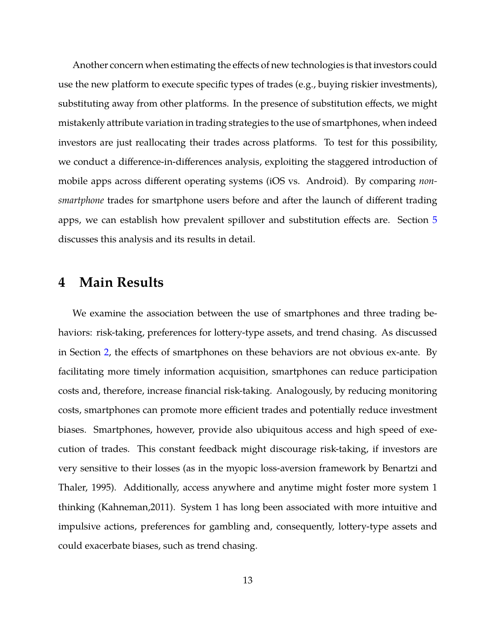Another concern when estimating the effects of new technologies is that investors could use the new platform to execute specific types of trades (e.g., buying riskier investments), substituting away from other platforms. In the presence of substitution effects, we might mistakenly attribute variation in trading strategies to the use of smartphones, when indeed investors are just reallocating their trades across platforms. To test for this possibility, we conduct a difference-in-differences analysis, exploiting the staggered introduction of mobile apps across different operating systems (iOS vs. Android). By comparing *nonsmartphone* trades for smartphone users before and after the launch of different trading apps, we can establish how prevalent spillover and substitution effects are. Section [5](#page-21-0) discusses this analysis and its results in detail.

# **4 Main Results**

We examine the association between the use of smartphones and three trading behaviors: risk-taking, preferences for lottery-type assets, and trend chasing. As discussed in Section [2,](#page-7-1) the effects of smartphones on these behaviors are not obvious ex-ante. By facilitating more timely information acquisition, smartphones can reduce participation costs and, therefore, increase financial risk-taking. Analogously, by reducing monitoring costs, smartphones can promote more efficient trades and potentially reduce investment biases. Smartphones, however, provide also ubiquitous access and high speed of execution of trades. This constant feedback might discourage risk-taking, if investors are very sensitive to their losses (as in the myopic loss-aversion framework by Benartzi and Thaler, 1995). Additionally, access anywhere and anytime might foster more system 1 thinking (Kahneman,2011). System 1 has long been associated with more intuitive and impulsive actions, preferences for gambling and, consequently, lottery-type assets and could exacerbate biases, such as trend chasing.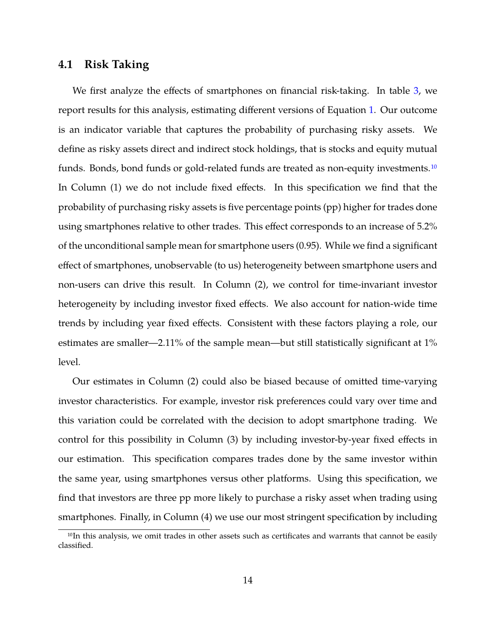# **4.1 Risk Taking**

We first analyze the effects of smartphones on financial risk-taking. In table [3,](#page-41-0) we report results for this analysis, estimating different versions of Equation [1.](#page-12-1) Our outcome is an indicator variable that captures the probability of purchasing risky assets. We define as risky assets direct and indirect stock holdings, that is stocks and equity mutual funds. Bonds, bond funds or gold-related funds are treated as non-equity investments.<sup>[10](#page-15-0)</sup> In Column (1) we do not include fixed effects. In this specification we find that the probability of purchasing risky assets is five percentage points (pp) higher for trades done using smartphones relative to other trades. This effect corresponds to an increase of 5.2% of the unconditional sample mean for smartphone users (0.95). While we find a significant effect of smartphones, unobservable (to us) heterogeneity between smartphone users and non-users can drive this result. In Column (2), we control for time-invariant investor heterogeneity by including investor fixed effects. We also account for nation-wide time trends by including year fixed effects. Consistent with these factors playing a role, our estimates are smaller—2.11% of the sample mean—but still statistically significant at 1% level.

Our estimates in Column (2) could also be biased because of omitted time-varying investor characteristics. For example, investor risk preferences could vary over time and this variation could be correlated with the decision to adopt smartphone trading. We control for this possibility in Column (3) by including investor-by-year fixed effects in our estimation. This specification compares trades done by the same investor within the same year, using smartphones versus other platforms. Using this specification, we find that investors are three pp more likely to purchase a risky asset when trading using smartphones. Finally, in Column (4) we use our most stringent specification by including

<span id="page-15-0"></span><sup>&</sup>lt;sup>10</sup>In this analysis, we omit trades in other assets such as certificates and warrants that cannot be easily classified.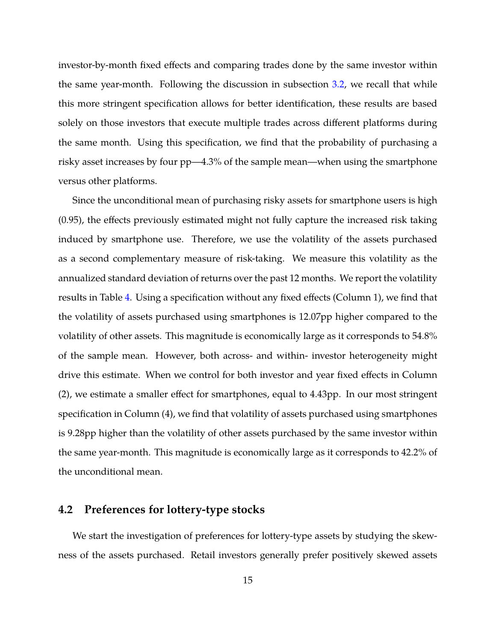investor-by-month fixed effects and comparing trades done by the same investor within the same year-month. Following the discussion in subsection [3.2,](#page-12-2) we recall that while this more stringent specification allows for better identification, these results are based solely on those investors that execute multiple trades across different platforms during the same month. Using this specification, we find that the probability of purchasing a risky asset increases by four pp—4.3% of the sample mean—when using the smartphone versus other platforms.

Since the unconditional mean of purchasing risky assets for smartphone users is high (0.95), the effects previously estimated might not fully capture the increased risk taking induced by smartphone use. Therefore, we use the volatility of the assets purchased as a second complementary measure of risk-taking. We measure this volatility as the annualized standard deviation of returns over the past 12 months. We report the volatility results in Table [4.](#page-42-0) Using a specification without any fixed effects (Column 1), we find that the volatility of assets purchased using smartphones is 12.07pp higher compared to the volatility of other assets. This magnitude is economically large as it corresponds to 54.8% of the sample mean. However, both across- and within- investor heterogeneity might drive this estimate. When we control for both investor and year fixed effects in Column (2), we estimate a smaller effect for smartphones, equal to 4.43pp. In our most stringent specification in Column (4), we find that volatility of assets purchased using smartphones is 9.28pp higher than the volatility of other assets purchased by the same investor within the same year-month. This magnitude is economically large as it corresponds to 42.2% of the unconditional mean.

# **4.2 Preferences for lottery-type stocks**

We start the investigation of preferences for lottery-type assets by studying the skewness of the assets purchased. Retail investors generally prefer positively skewed assets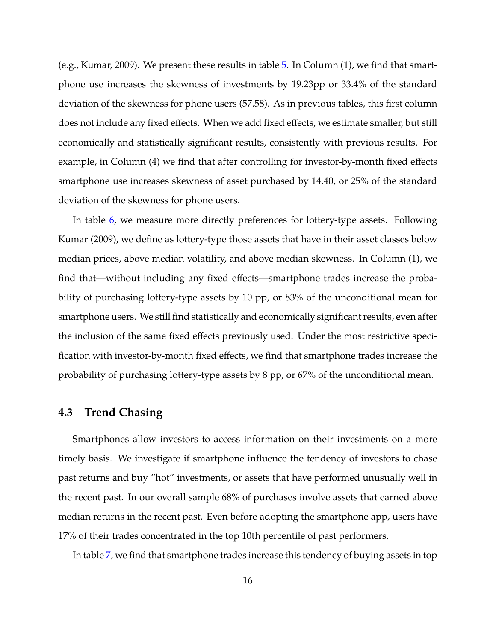(e.g., Kumar, 2009). We present these results in table [5.](#page-43-0) In Column (1), we find that smartphone use increases the skewness of investments by 19.23pp or 33.4% of the standard deviation of the skewness for phone users (57.58). As in previous tables, this first column does not include any fixed effects. When we add fixed effects, we estimate smaller, but still economically and statistically significant results, consistently with previous results. For example, in Column (4) we find that after controlling for investor-by-month fixed effects smartphone use increases skewness of asset purchased by 14.40, or 25% of the standard deviation of the skewness for phone users.

In table [6,](#page-44-0) we measure more directly preferences for lottery-type assets. Following Kumar (2009), we define as lottery-type those assets that have in their asset classes below median prices, above median volatility, and above median skewness. In Column (1), we find that—without including any fixed effects—smartphone trades increase the probability of purchasing lottery-type assets by 10 pp, or 83% of the unconditional mean for smartphone users. We still find statistically and economically significant results, even after the inclusion of the same fixed effects previously used. Under the most restrictive specification with investor-by-month fixed effects, we find that smartphone trades increase the probability of purchasing lottery-type assets by 8 pp, or 67% of the unconditional mean.

#### **4.3 Trend Chasing**

Smartphones allow investors to access information on their investments on a more timely basis. We investigate if smartphone influence the tendency of investors to chase past returns and buy "hot" investments, or assets that have performed unusually well in the recent past. In our overall sample 68% of purchases involve assets that earned above median returns in the recent past. Even before adopting the smartphone app, users have 17% of their trades concentrated in the top 10th percentile of past performers.

In table [7,](#page-45-0) we find that smartphone trades increase this tendency of buying assets in top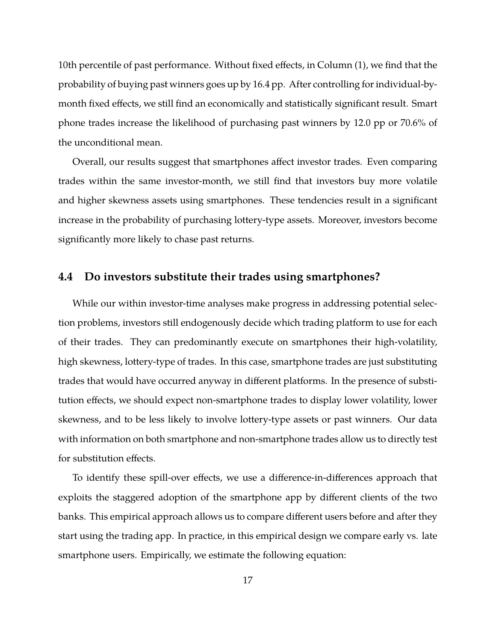10th percentile of past performance. Without fixed effects, in Column (1), we find that the probability of buying past winners goes up by 16.4 pp. After controlling for individual-bymonth fixed effects, we still find an economically and statistically significant result. Smart phone trades increase the likelihood of purchasing past winners by 12.0 pp or 70.6% of the unconditional mean.

Overall, our results suggest that smartphones affect investor trades. Even comparing trades within the same investor-month, we still find that investors buy more volatile and higher skewness assets using smartphones. These tendencies result in a significant increase in the probability of purchasing lottery-type assets. Moreover, investors become significantly more likely to chase past returns.

### **4.4 Do investors substitute their trades using smartphones?**

While our within investor-time analyses make progress in addressing potential selection problems, investors still endogenously decide which trading platform to use for each of their trades. They can predominantly execute on smartphones their high-volatility, high skewness, lottery-type of trades. In this case, smartphone trades are just substituting trades that would have occurred anyway in different platforms. In the presence of substitution effects, we should expect non-smartphone trades to display lower volatility, lower skewness, and to be less likely to involve lottery-type assets or past winners. Our data with information on both smartphone and non-smartphone trades allow us to directly test for substitution effects.

To identify these spill-over effects, we use a difference-in-differences approach that exploits the staggered adoption of the smartphone app by different clients of the two banks. This empirical approach allows us to compare different users before and after they start using the trading app. In practice, in this empirical design we compare early vs. late smartphone users. Empirically, we estimate the following equation: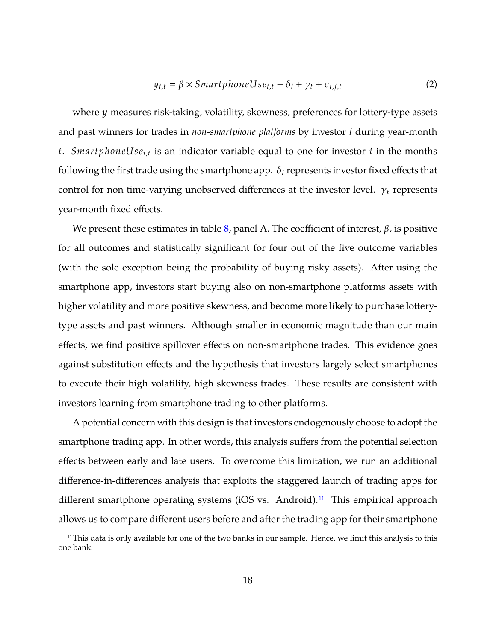$$
y_{i,t} = \beta \times SmartphoneUse_{i,t} + \delta_i + \gamma_t + \epsilon_{i,j,t}
$$
 (2)

where y measures risk-taking, volatility, skewness, preferences for lottery-type assets and past winners for trades in *non-smartphone platforms* by investor *i* during year-month t. SmartphoneUse<sub>i,t</sub> is an indicator variable equal to one for investor *i* in the months following the first trade using the smartphone app.  $\delta_i$  represents investor fixed effects that control for non time-varying unobserved differences at the investor level.  $\gamma_t$  represents year-month fixed effects.

We present these estimates in table [8,](#page-46-0) panel A. The coefficient of interest,  $\beta$ , is positive for all outcomes and statistically significant for four out of the five outcome variables (with the sole exception being the probability of buying risky assets). After using the smartphone app, investors start buying also on non-smartphone platforms assets with higher volatility and more positive skewness, and become more likely to purchase lotterytype assets and past winners. Although smaller in economic magnitude than our main effects, we find positive spillover effects on non-smartphone trades. This evidence goes against substitution effects and the hypothesis that investors largely select smartphones to execute their high volatility, high skewness trades. These results are consistent with investors learning from smartphone trading to other platforms.

A potential concern with this design is that investors endogenously choose to adopt the smartphone trading app. In other words, this analysis suffers from the potential selection effects between early and late users. To overcome this limitation, we run an additional difference-in-differences analysis that exploits the staggered launch of trading apps for different smartphone operating systems (iOS vs. Android).<sup>[11](#page-19-0)</sup> This empirical approach allows us to compare different users before and after the trading app for their smartphone

<span id="page-19-0"></span><sup>&</sup>lt;sup>11</sup>This data is only available for one of the two banks in our sample. Hence, we limit this analysis to this one bank.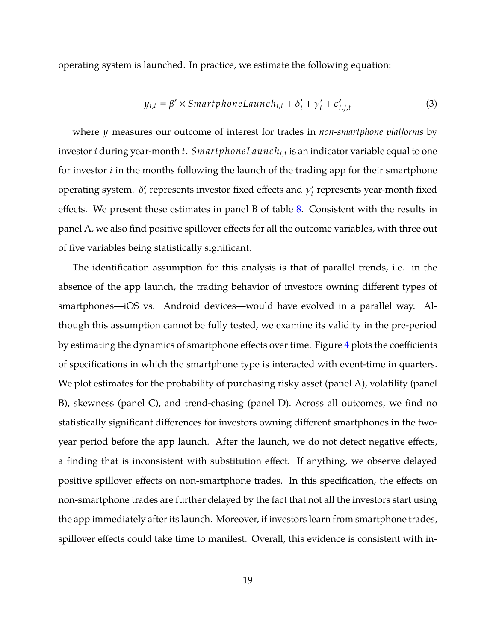operating system is launched. In practice, we estimate the following equation:

$$
y_{i,t} = \beta' \times Smarphonelaunch_{i,t} + \delta'_i + \gamma'_t + \epsilon'_{i,j,t}
$$
 (3)

where *y* measures our outcome of interest for trades in *non-smartphone platforms* by investor *i* during year-month *t*. *SmartphoneLaunch*<sub>*i*,t</sub> is an indicator variable equal to one for investor  $i$  in the months following the launch of the trading app for their smartphone operating system.  $\delta_i'$  represents investor fixed effects and  $\gamma_i'$  represents year-month fixed effects. We present these estimates in panel B of table [8.](#page-46-0) Consistent with the results in panel A, we also find positive spillover effects for all the outcome variables, with three out of five variables being statistically significant.

The identification assumption for this analysis is that of parallel trends, i.e. in the absence of the app launch, the trading behavior of investors owning different types of smartphones—iOS vs. Android devices—would have evolved in a parallel way. Although this assumption cannot be fully tested, we examine its validity in the pre-period by estimating the dynamics of smartphone effects over time. Figure [4](#page-37-0) plots the coefficients of specifications in which the smartphone type is interacted with event-time in quarters. We plot estimates for the probability of purchasing risky asset (panel A), volatility (panel B), skewness (panel C), and trend-chasing (panel D). Across all outcomes, we find no statistically significant differences for investors owning different smartphones in the twoyear period before the app launch. After the launch, we do not detect negative effects, a finding that is inconsistent with substitution effect. If anything, we observe delayed positive spillover effects on non-smartphone trades. In this specification, the effects on non-smartphone trades are further delayed by the fact that not all the investors start using the app immediately after its launch. Moreover, if investors learn from smartphone trades, spillover effects could take time to manifest. Overall, this evidence is consistent with in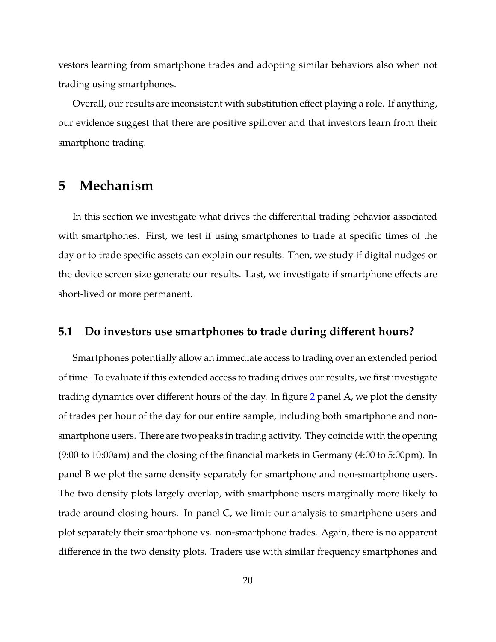vestors learning from smartphone trades and adopting similar behaviors also when not trading using smartphones.

Overall, our results are inconsistent with substitution effect playing a role. If anything, our evidence suggest that there are positive spillover and that investors learn from their smartphone trading.

# <span id="page-21-0"></span>**5 Mechanism**

In this section we investigate what drives the differential trading behavior associated with smartphones. First, we test if using smartphones to trade at specific times of the day or to trade specific assets can explain our results. Then, we study if digital nudges or the device screen size generate our results. Last, we investigate if smartphone effects are short-lived or more permanent.

## **5.1 Do investors use smartphones to trade during different hours?**

Smartphones potentially allow an immediate access to trading over an extended period of time. To evaluate if this extended access to trading drives our results, we first investigate trading dynamics over different hours of the day. In figure [2](#page-33-0) panel A, we plot the density of trades per hour of the day for our entire sample, including both smartphone and nonsmartphone users. There are two peaks in trading activity. They coincide with the opening (9:00 to 10:00am) and the closing of the financial markets in Germany (4:00 to 5:00pm). In panel B we plot the same density separately for smartphone and non-smartphone users. The two density plots largely overlap, with smartphone users marginally more likely to trade around closing hours. In panel C, we limit our analysis to smartphone users and plot separately their smartphone vs. non-smartphone trades. Again, there is no apparent difference in the two density plots. Traders use with similar frequency smartphones and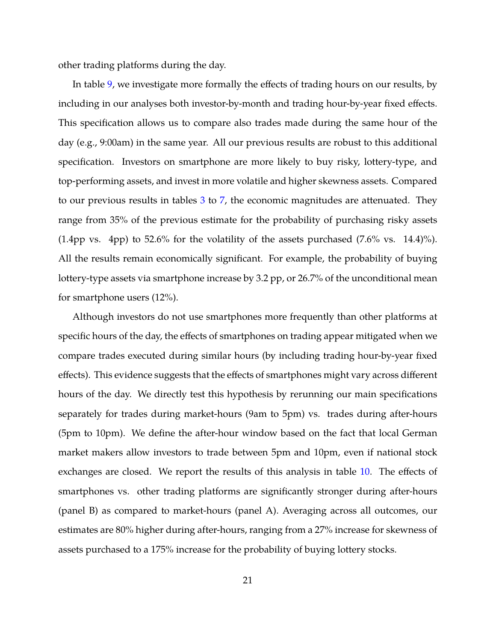other trading platforms during the day.

In table [9,](#page-47-0) we investigate more formally the effects of trading hours on our results, by including in our analyses both investor-by-month and trading hour-by-year fixed effects. This specification allows us to compare also trades made during the same hour of the day (e.g., 9:00am) in the same year. All our previous results are robust to this additional specification. Investors on smartphone are more likely to buy risky, lottery-type, and top-performing assets, and invest in more volatile and higher skewness assets. Compared to our previous results in tables [3](#page-41-0) to [7,](#page-45-0) the economic magnitudes are attenuated. They range from 35% of the previous estimate for the probability of purchasing risky assets  $(1.4 \text{pp vs. 4pp})$  to 52.6% for the volatility of the assets purchased  $(7.6\% \text{ vs. } 14.4)\%$ ). All the results remain economically significant. For example, the probability of buying lottery-type assets via smartphone increase by 3.2 pp, or 26.7% of the unconditional mean for smartphone users (12%).

Although investors do not use smartphones more frequently than other platforms at specific hours of the day, the effects of smartphones on trading appear mitigated when we compare trades executed during similar hours (by including trading hour-by-year fixed effects). This evidence suggests that the effects of smartphones might vary across different hours of the day. We directly test this hypothesis by rerunning our main specifications separately for trades during market-hours (9am to 5pm) vs. trades during after-hours (5pm to 10pm). We define the after-hour window based on the fact that local German market makers allow investors to trade between 5pm and 10pm, even if national stock exchanges are closed. We report the results of this analysis in table [10.](#page-48-0) The effects of smartphones vs. other trading platforms are significantly stronger during after-hours (panel B) as compared to market-hours (panel A). Averaging across all outcomes, our estimates are 80% higher during after-hours, ranging from a 27% increase for skewness of assets purchased to a 175% increase for the probability of buying lottery stocks.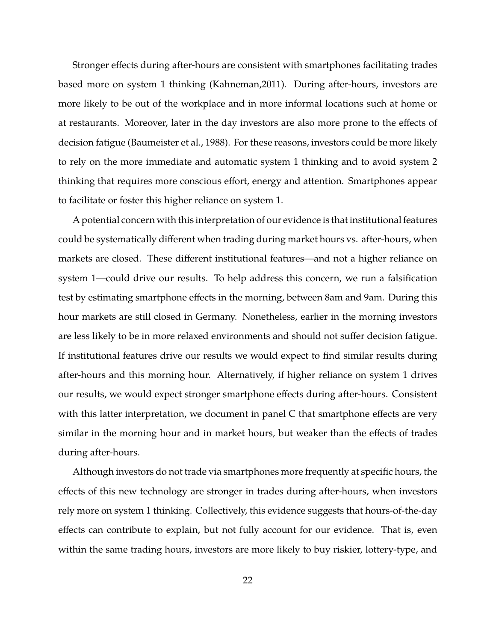Stronger effects during after-hours are consistent with smartphones facilitating trades based more on system 1 thinking (Kahneman,2011). During after-hours, investors are more likely to be out of the workplace and in more informal locations such at home or at restaurants. Moreover, later in the day investors are also more prone to the effects of decision fatigue (Baumeister et al., 1988). For these reasons, investors could be more likely to rely on the more immediate and automatic system 1 thinking and to avoid system 2 thinking that requires more conscious effort, energy and attention. Smartphones appear to facilitate or foster this higher reliance on system 1.

A potential concern with this interpretation of our evidence is that institutional features could be systematically different when trading during market hours vs. after-hours, when markets are closed. These different institutional features—and not a higher reliance on system 1—could drive our results. To help address this concern, we run a falsification test by estimating smartphone effects in the morning, between 8am and 9am. During this hour markets are still closed in Germany. Nonetheless, earlier in the morning investors are less likely to be in more relaxed environments and should not suffer decision fatigue. If institutional features drive our results we would expect to find similar results during after-hours and this morning hour. Alternatively, if higher reliance on system 1 drives our results, we would expect stronger smartphone effects during after-hours. Consistent with this latter interpretation, we document in panel C that smartphone effects are very similar in the morning hour and in market hours, but weaker than the effects of trades during after-hours.

Although investors do not trade via smartphones more frequently at specific hours, the effects of this new technology are stronger in trades during after-hours, when investors rely more on system 1 thinking. Collectively, this evidence suggests that hours-of-the-day effects can contribute to explain, but not fully account for our evidence. That is, even within the same trading hours, investors are more likely to buy riskier, lottery-type, and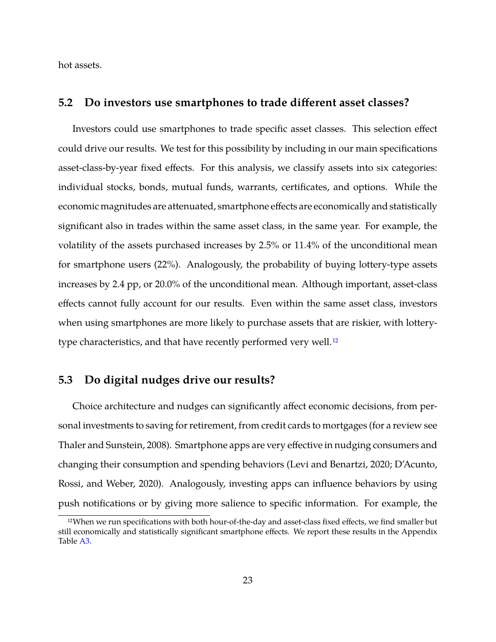hot assets.

#### **5.2 Do investors use smartphones to trade different asset classes?**

Investors could use smartphones to trade specific asset classes. This selection effect could drive our results. We test for this possibility by including in our main specifications asset-class-by-year fixed effects. For this analysis, we classify assets into six categories: individual stocks, bonds, mutual funds, warrants, certificates, and options. While the economic magnitudes are attenuated, smartphone effects are economically and statistically significant also in trades within the same asset class, in the same year. For example, the volatility of the assets purchased increases by 2.5% or 11.4% of the unconditional mean for smartphone users (22%). Analogously, the probability of buying lottery-type assets increases by 2.4 pp, or 20.0% of the unconditional mean. Although important, asset-class effects cannot fully account for our results. Even within the same asset class, investors when using smartphones are more likely to purchase assets that are riskier, with lottery-type characteristics, and that have recently performed very well.<sup>[12](#page-24-0)</sup>

## **5.3 Do digital nudges drive our results?**

Choice architecture and nudges can significantly affect economic decisions, from personal investments to saving for retirement, from credit cards to mortgages (for a review see Thaler and Sunstein, 2008). Smartphone apps are very effective in nudging consumers and changing their consumption and spending behaviors (Levi and Benartzi, 2020; D'Acunto, Rossi, and Weber, 2020). Analogously, investing apps can influence behaviors by using push notifications or by giving more salience to specific information. For example, the

<span id="page-24-0"></span><sup>12</sup>When we run specifications with both hour-of-the-day and asset-class fixed effects, we find smaller but still economically and statistically significant smartphone effects. We report these results in the Appendix Table [A3.](#page-57-0)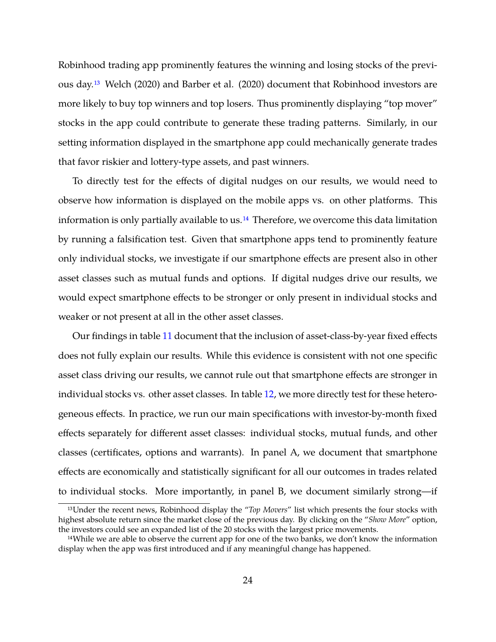Robinhood trading app prominently features the winning and losing stocks of the previous day.[13](#page-25-0) Welch (2020) and Barber et al. (2020) document that Robinhood investors are more likely to buy top winners and top losers. Thus prominently displaying "top mover" stocks in the app could contribute to generate these trading patterns. Similarly, in our setting information displayed in the smartphone app could mechanically generate trades that favor riskier and lottery-type assets, and past winners.

To directly test for the effects of digital nudges on our results, we would need to observe how information is displayed on the mobile apps vs. on other platforms. This information is only partially available to us.<sup>[14](#page-25-1)</sup> Therefore, we overcome this data limitation by running a falsification test. Given that smartphone apps tend to prominently feature only individual stocks, we investigate if our smartphone effects are present also in other asset classes such as mutual funds and options. If digital nudges drive our results, we would expect smartphone effects to be stronger or only present in individual stocks and weaker or not present at all in the other asset classes.

Our findings in table [11](#page-49-0) document that the inclusion of asset-class-by-year fixed effects does not fully explain our results. While this evidence is consistent with not one specific asset class driving our results, we cannot rule out that smartphone effects are stronger in individual stocks vs. other asset classes. In table [12,](#page-50-0) we more directly test for these heterogeneous effects. In practice, we run our main specifications with investor-by-month fixed effects separately for different asset classes: individual stocks, mutual funds, and other classes (certificates, options and warrants). In panel A, we document that smartphone effects are economically and statistically significant for all our outcomes in trades related to individual stocks. More importantly, in panel B, we document similarly strong—if

<span id="page-25-0"></span><sup>13</sup>Under the recent news, Robinhood display the "*Top Movers*" list which presents the four stocks with highest absolute return since the market close of the previous day. By clicking on the "*Show More*" option, the investors could see an expanded list of the 20 stocks with the largest price movements.

<span id="page-25-1"></span><sup>&</sup>lt;sup>14</sup>While we are able to observe the current app for one of the two banks, we don't know the information display when the app was first introduced and if any meaningful change has happened.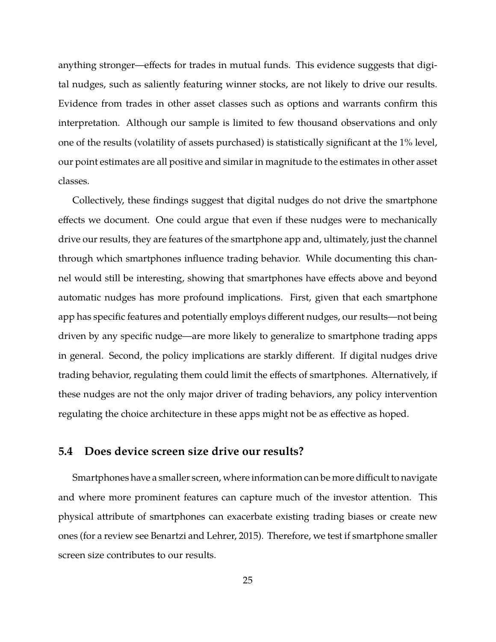anything stronger—effects for trades in mutual funds. This evidence suggests that digital nudges, such as saliently featuring winner stocks, are not likely to drive our results. Evidence from trades in other asset classes such as options and warrants confirm this interpretation. Although our sample is limited to few thousand observations and only one of the results (volatility of assets purchased) is statistically significant at the 1% level, our point estimates are all positive and similar in magnitude to the estimates in other asset classes.

Collectively, these findings suggest that digital nudges do not drive the smartphone effects we document. One could argue that even if these nudges were to mechanically drive our results, they are features of the smartphone app and, ultimately, just the channel through which smartphones influence trading behavior. While documenting this channel would still be interesting, showing that smartphones have effects above and beyond automatic nudges has more profound implications. First, given that each smartphone app has specific features and potentially employs different nudges, our results—not being driven by any specific nudge—are more likely to generalize to smartphone trading apps in general. Second, the policy implications are starkly different. If digital nudges drive trading behavior, regulating them could limit the effects of smartphones. Alternatively, if these nudges are not the only major driver of trading behaviors, any policy intervention regulating the choice architecture in these apps might not be as effective as hoped.

# **5.4 Does device screen size drive our results?**

Smartphones have a smaller screen, where information can be more difficult to navigate and where more prominent features can capture much of the investor attention. This physical attribute of smartphones can exacerbate existing trading biases or create new ones (for a review see Benartzi and Lehrer, 2015). Therefore, we test if smartphone smaller screen size contributes to our results.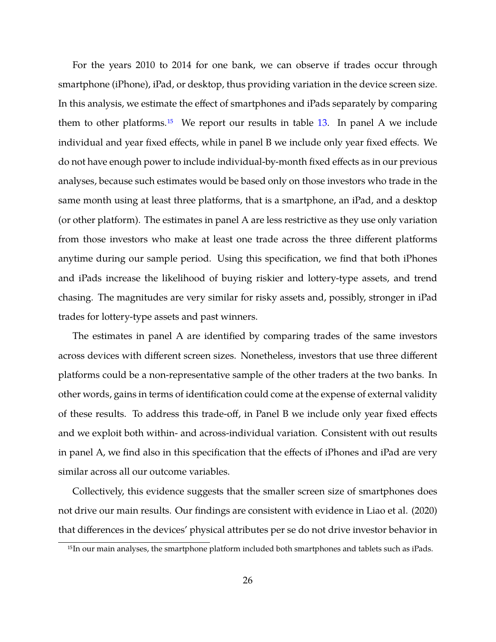For the years 2010 to 2014 for one bank, we can observe if trades occur through smartphone (iPhone), iPad, or desktop, thus providing variation in the device screen size. In this analysis, we estimate the effect of smartphones and iPads separately by comparing them to other platforms.<sup>[15](#page-27-0)</sup> We report our results in table  $13$ . In panel A we include individual and year fixed effects, while in panel B we include only year fixed effects. We do not have enough power to include individual-by-month fixed effects as in our previous analyses, because such estimates would be based only on those investors who trade in the same month using at least three platforms, that is a smartphone, an iPad, and a desktop (or other platform). The estimates in panel A are less restrictive as they use only variation from those investors who make at least one trade across the three different platforms anytime during our sample period. Using this specification, we find that both iPhones and iPads increase the likelihood of buying riskier and lottery-type assets, and trend chasing. The magnitudes are very similar for risky assets and, possibly, stronger in iPad trades for lottery-type assets and past winners.

The estimates in panel A are identified by comparing trades of the same investors across devices with different screen sizes. Nonetheless, investors that use three different platforms could be a non-representative sample of the other traders at the two banks. In other words, gains in terms of identification could come at the expense of external validity of these results. To address this trade-off, in Panel B we include only year fixed effects and we exploit both within- and across-individual variation. Consistent with out results in panel A, we find also in this specification that the effects of iPhones and iPad are very similar across all our outcome variables.

Collectively, this evidence suggests that the smaller screen size of smartphones does not drive our main results. Our findings are consistent with evidence in Liao et al. (2020) that differences in the devices' physical attributes per se do not drive investor behavior in

<span id="page-27-0"></span><sup>15</sup>In our main analyses, the smartphone platform included both smartphones and tablets such as iPads.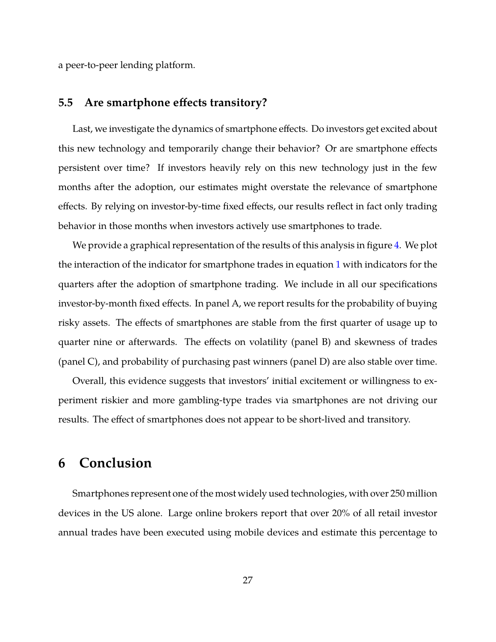a peer-to-peer lending platform.

# **5.5 Are smartphone effects transitory?**

Last, we investigate the dynamics of smartphone effects. Do investors get excited about this new technology and temporarily change their behavior? Or are smartphone effects persistent over time? If investors heavily rely on this new technology just in the few months after the adoption, our estimates might overstate the relevance of smartphone effects. By relying on investor-by-time fixed effects, our results reflect in fact only trading behavior in those months when investors actively use smartphones to trade.

We provide a graphical representation of the results of this analysis in figure [4.](#page-37-0) We plot the interaction of the indicator for smartphone trades in equation [1](#page-12-1) with indicators for the quarters after the adoption of smartphone trading. We include in all our specifications investor-by-month fixed effects. In panel A, we report results for the probability of buying risky assets. The effects of smartphones are stable from the first quarter of usage up to quarter nine or afterwards. The effects on volatility (panel B) and skewness of trades (panel C), and probability of purchasing past winners (panel D) are also stable over time.

Overall, this evidence suggests that investors' initial excitement or willingness to experiment riskier and more gambling-type trades via smartphones are not driving our results. The effect of smartphones does not appear to be short-lived and transitory.

# **6 Conclusion**

Smartphones represent one of the most widely used technologies, with over 250 million devices in the US alone. Large online brokers report that over 20% of all retail investor annual trades have been executed using mobile devices and estimate this percentage to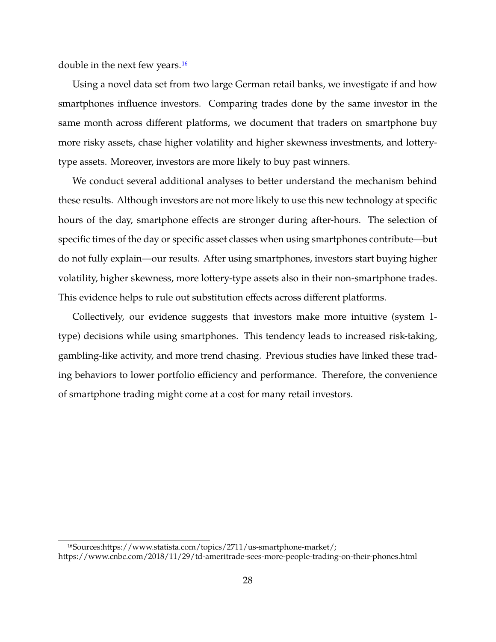double in the next few years.[16](#page-29-0)

Using a novel data set from two large German retail banks, we investigate if and how smartphones influence investors. Comparing trades done by the same investor in the same month across different platforms, we document that traders on smartphone buy more risky assets, chase higher volatility and higher skewness investments, and lotterytype assets. Moreover, investors are more likely to buy past winners.

We conduct several additional analyses to better understand the mechanism behind these results. Although investors are not more likely to use this new technology at specific hours of the day, smartphone effects are stronger during after-hours. The selection of specific times of the day or specific asset classes when using smartphones contribute—but do not fully explain—our results. After using smartphones, investors start buying higher volatility, higher skewness, more lottery-type assets also in their non-smartphone trades. This evidence helps to rule out substitution effects across different platforms.

Collectively, our evidence suggests that investors make more intuitive (system 1 type) decisions while using smartphones. This tendency leads to increased risk-taking, gambling-like activity, and more trend chasing. Previous studies have linked these trading behaviors to lower portfolio efficiency and performance. Therefore, the convenience of smartphone trading might come at a cost for many retail investors.

<span id="page-29-0"></span><sup>16</sup>Sources:https://www.statista.com/topics/2711/us-smartphone-market/;

https://www.cnbc.com/2018/11/29/td-ameritrade-sees-more-people-trading-on-their-phones.html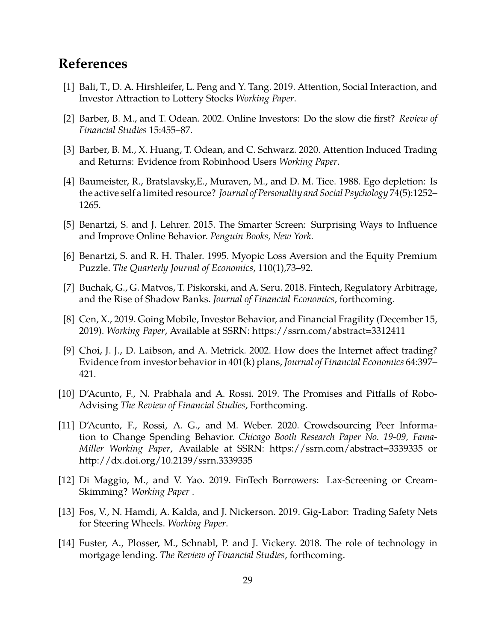# **References**

- [1] Bali, T., D. A. Hirshleifer, L. Peng and Y. Tang. 2019. Attention, Social Interaction, and Investor Attraction to Lottery Stocks *Working Paper*.
- [2] Barber, B. M., and T. Odean. 2002. Online Investors: Do the slow die first? *Review of Financial Studies* 15:455–87.
- [3] Barber, B. M., X. Huang, T. Odean, and C. Schwarz. 2020. Attention Induced Trading and Returns: Evidence from Robinhood Users *Working Paper*.
- [4] Baumeister, R., Bratslavsky,E., Muraven, M., and D. M. Tice. 1988. Ego depletion: Is the active self a limited resource? *Journal of Personality and Social Psychology* 74(5):1252– 1265.
- [5] Benartzi, S. and J. Lehrer. 2015. The Smarter Screen: Surprising Ways to Influence and Improve Online Behavior. *Penguin Books, New York*.
- [6] Benartzi, S. and R. H. Thaler. 1995. Myopic Loss Aversion and the Equity Premium Puzzle. *The Quarterly Journal of Economics*, 110(1),73–92.
- [7] Buchak, G., G. Matvos, T. Piskorski, and A. Seru. 2018. Fintech, Regulatory Arbitrage, and the Rise of Shadow Banks. *Journal of Financial Economics*, forthcoming.
- [8] Cen, X., 2019. Going Mobile, Investor Behavior, and Financial Fragility (December 15, 2019). *Working Paper*, Available at SSRN: https://ssrn.com/abstract=3312411
- [9] Choi, J. J., D. Laibson, and A. Metrick. 2002. How does the Internet affect trading? Evidence from investor behavior in 401(k) plans, *Journal of Financial Economics* 64:397– 421.
- [10] D'Acunto, F., N. Prabhala and A. Rossi. 2019. The Promises and Pitfalls of Robo-Advising *The Review of Financial Studies*, Forthcoming.
- [11] D'Acunto, F., Rossi, A. G., and M. Weber. 2020. Crowdsourcing Peer Information to Change Spending Behavior. *Chicago Booth Research Paper No. 19-09, Fama-Miller Working Paper*, Available at SSRN: https://ssrn.com/abstract=3339335 or http://dx.doi.org/10.2139/ssrn.3339335
- [12] Di Maggio, M., and V. Yao. 2019. FinTech Borrowers: Lax-Screening or Cream-Skimming? *Working Paper* .
- [13] Fos, V., N. Hamdi, A. Kalda, and J. Nickerson. 2019. Gig-Labor: Trading Safety Nets for Steering Wheels. *Working Paper*.
- [14] Fuster, A., Plosser, M., Schnabl, P. and J. Vickery. 2018. The role of technology in mortgage lending. *The Review of Financial Studies*, forthcoming.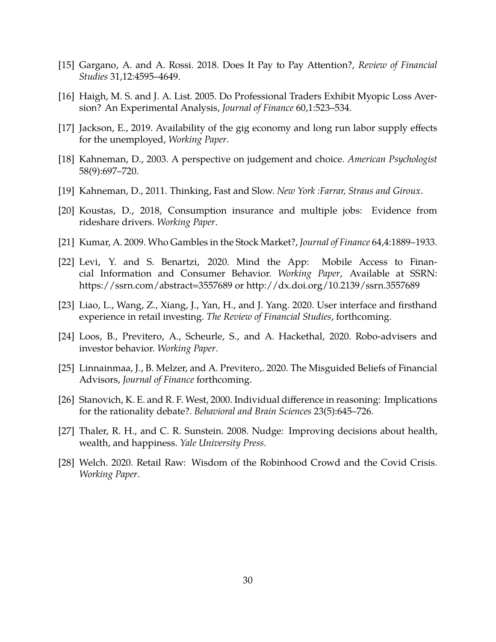- [15] Gargano, A. and A. Rossi. 2018. Does It Pay to Pay Attention?, *Review of Financial Studies* 31,12:4595–4649.
- [16] Haigh, M. S. and J. A. List. 2005. Do Professional Traders Exhibit Myopic Loss Aversion? An Experimental Analysis, *Journal of Finance* 60,1:523–534.
- [17] Jackson, E., 2019. Availability of the gig economy and long run labor supply effects for the unemployed, *Working Paper*.
- [18] Kahneman, D., 2003. A perspective on judgement and choice. *American Psychologist* 58(9):697–720.
- [19] Kahneman, D., 2011. Thinking, Fast and Slow. *New York :Farrar, Straus and Giroux*.
- [20] Koustas, D., 2018, Consumption insurance and multiple jobs: Evidence from rideshare drivers. *Working Paper*.
- [21] Kumar, A. 2009. Who Gambles in the Stock Market?, *Journal of Finance* 64,4:1889–1933.
- [22] Levi, Y. and S. Benartzi, 2020. Mind the App: Mobile Access to Financial Information and Consumer Behavior. *Working Paper*, Available at SSRN: https://ssrn.com/abstract=3557689 or http://dx.doi.org/10.2139/ssrn.3557689
- [23] Liao, L., Wang, Z., Xiang, J., Yan, H., and J. Yang. 2020. User interface and firsthand experience in retail investing. *The Review of Financial Studies*, forthcoming.
- [24] Loos, B., Previtero, A., Scheurle, S., and A. Hackethal, 2020. Robo-advisers and investor behavior. *Working Paper*.
- [25] Linnainmaa, J., B. Melzer, and A. Previtero,. 2020. The Misguided Beliefs of Financial Advisors, *Journal of Finance* forthcoming.
- [26] Stanovich, K. E. and R. F. West, 2000. Individual difference in reasoning: Implications for the rationality debate?. *Behavioral and Brain Sciences* 23(5):645–726.
- [27] Thaler, R. H., and C. R. Sunstein. 2008. Nudge: Improving decisions about health, wealth, and happiness. *Yale University Press*.
- [28] Welch. 2020. Retail Raw: Wisdom of the Robinhood Crowd and the Covid Crisis. *Working Paper*.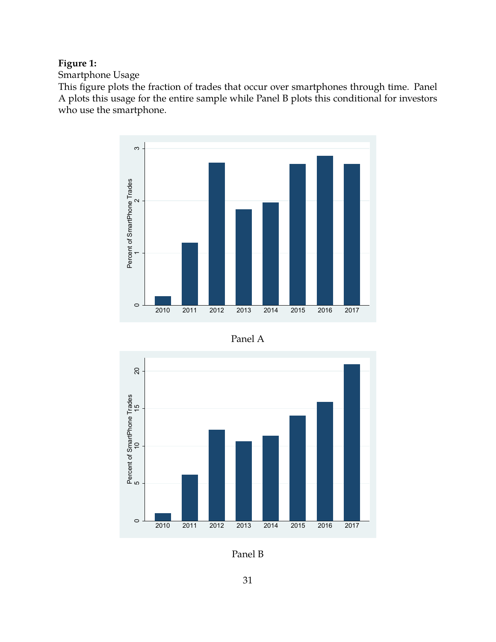# <span id="page-32-0"></span>**Figure 1:**

Smartphone Usage

This figure plots the fraction of trades that occur over smartphones through time. Panel A plots this usage for the entire sample while Panel B plots this conditional for investors who use the smartphone.







Panel B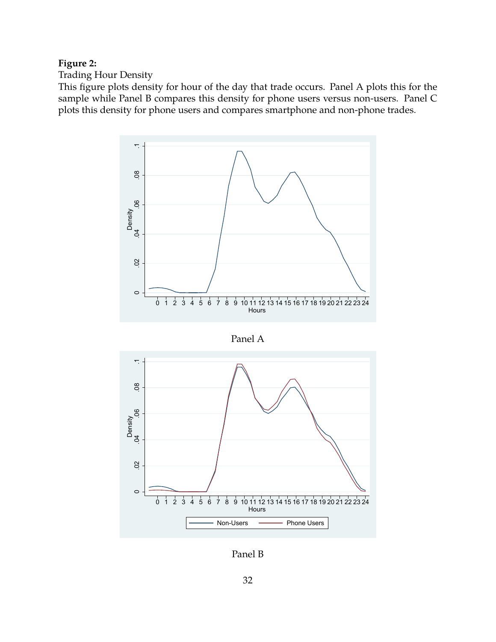# <span id="page-33-0"></span>**Figure 2:**

Trading Hour Density

This figure plots density for hour of the day that trade occurs. Panel A plots this for the sample while Panel B compares this density for phone users versus non-users. Panel C plots this density for phone users and compares smartphone and non-phone trades.



Panel A



Panel B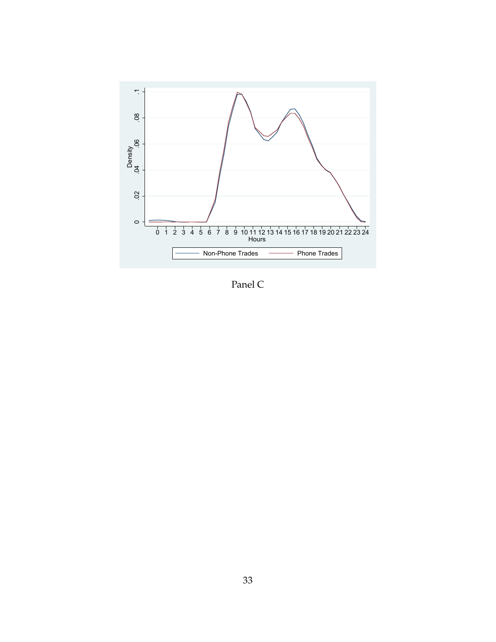

Panel C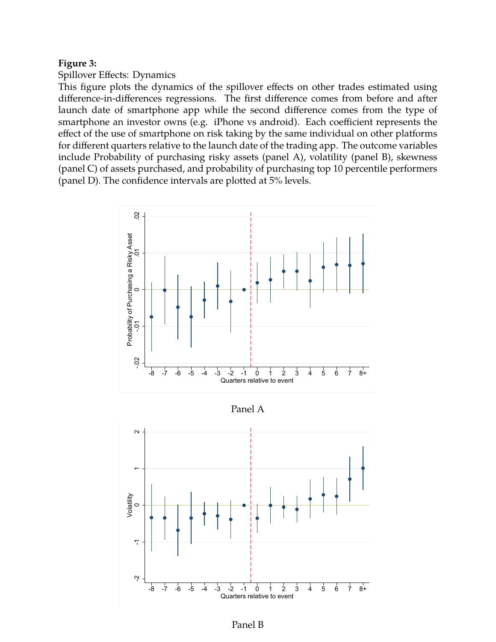#### **Figure 3:**

#### Spillover Effects: Dynamics

This figure plots the dynamics of the spillover effects on other trades estimated using difference-in-differences regressions. The first difference comes from before and after launch date of smartphone app while the second difference comes from the type of smartphone an investor owns (e.g. iPhone vs android). Each coefficient represents the effect of the use of smartphone on risk taking by the same individual on other platforms for different quarters relative to the launch date of the trading app. The outcome variables include Probability of purchasing risky assets (panel A), volatility (panel B), skewness (panel C) of assets purchased, and probability of purchasing top 10 percentile performers (panel D). The confidence intervals are plotted at 5% levels.



Panel A



Panel B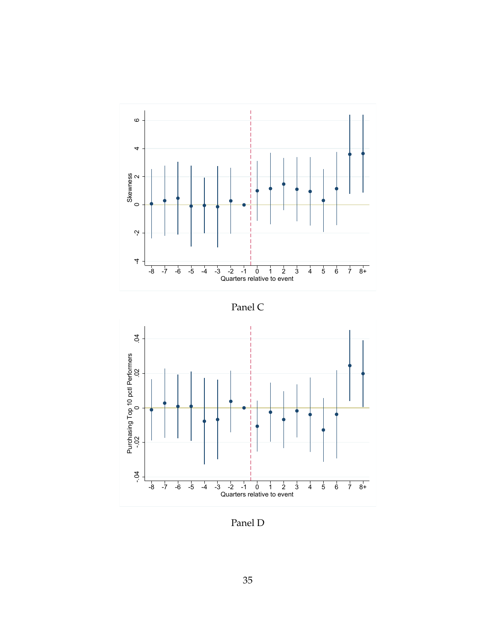





Panel D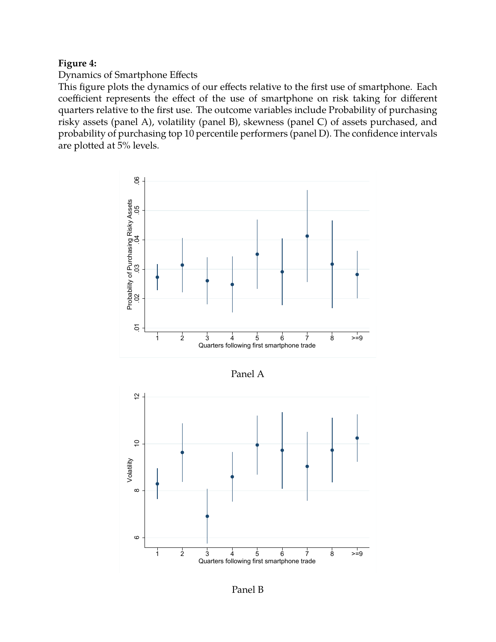## <span id="page-37-0"></span>**Figure 4:**

## Dynamics of Smartphone Effects

This figure plots the dynamics of our effects relative to the first use of smartphone. Each coefficient represents the effect of the use of smartphone on risk taking for different quarters relative to the first use. The outcome variables include Probability of purchasing risky assets (panel A), volatility (panel B), skewness (panel C) of assets purchased, and probability of purchasing top 10 percentile performers (panel D). The confidence intervals are plotted at 5% levels.





Panel B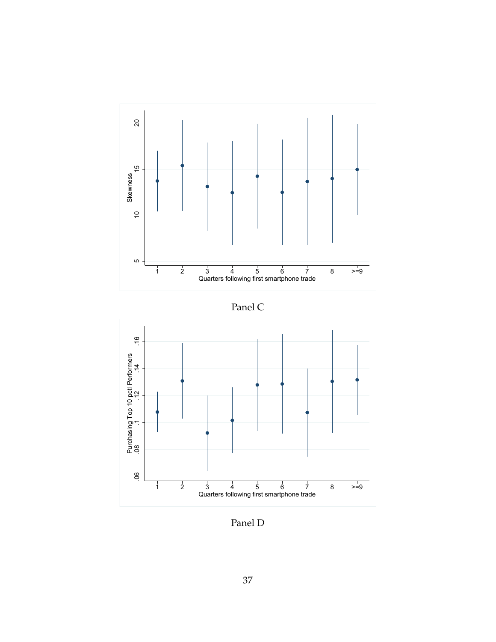

Panel C



Panel D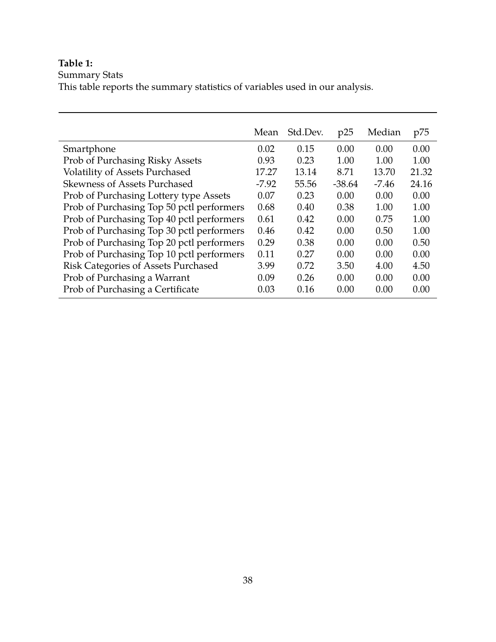# <span id="page-39-0"></span>**Table 1:**

#### Summary Stats

This table reports the summary statistics of variables used in our analysis.

|                                            | Mean    | Std.Dev. | p25      | Median  | p75   |
|--------------------------------------------|---------|----------|----------|---------|-------|
| Smartphone                                 | 0.02    | 0.15     | 0.00     | 0.00    | 0.00  |
| Prob of Purchasing Risky Assets            | 0.93    | 0.23     | 1.00     | 1.00    | 1.00  |
| Volatility of Assets Purchased             | 17.27   | 13.14    | 8.71     | 13.70   | 21.32 |
| <b>Skewness of Assets Purchased</b>        | $-7.92$ | 55.56    | $-38.64$ | $-7.46$ | 24.16 |
| Prob of Purchasing Lottery type Assets     | 0.07    | 0.23     | 0.00     | 0.00    | 0.00  |
| Prob of Purchasing Top 50 pctl performers  | 0.68    | 0.40     | 0.38     | 1.00    | 1.00  |
| Prob of Purchasing Top 40 pctl performers  | 0.61    | 0.42     | 0.00     | 0.75    | 1.00  |
| Prob of Purchasing Top 30 pctl performers  | 0.46    | 0.42     | 0.00     | 0.50    | 1.00  |
| Prob of Purchasing Top 20 pctl performers  | 0.29    | 0.38     | 0.00     | 0.00    | 0.50  |
| Prob of Purchasing Top 10 pctl performers  | 0.11    | 0.27     | 0.00     | 0.00    | 0.00  |
| <b>Risk Categories of Assets Purchased</b> | 3.99    | 0.72     | 3.50     | 4.00    | 4.50  |
| Prob of Purchasing a Warrant               | 0.09    | 0.26     | 0.00     | 0.00    | 0.00  |
| Prob of Purchasing a Certificate           | 0.03    | 0.16     | 0.00     | 0.00    | 0.00  |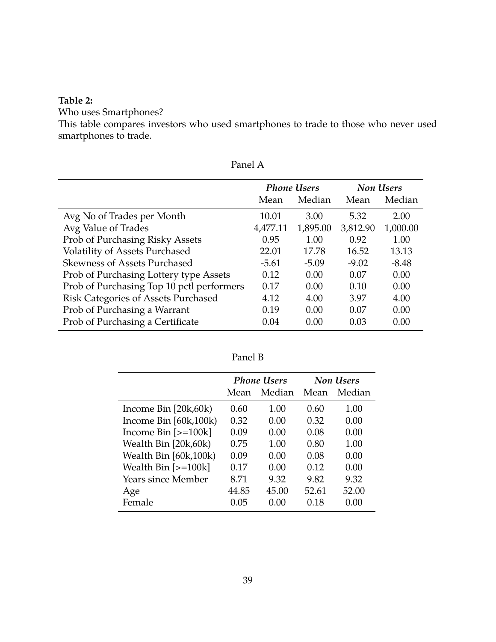# <span id="page-40-0"></span>**Table 2:**

Who uses Smartphones?

This table compares investors who used smartphones to trade to those who never used smartphones to trade.

|                                           |          | <b>Phone Users</b> |          | <b>Non Users</b> |
|-------------------------------------------|----------|--------------------|----------|------------------|
|                                           | Mean     | Median             | Mean     | Median           |
| Avg No of Trades per Month                | 10.01    | 3.00               | 5.32     | 2.00             |
| Avg Value of Trades                       | 4,477.11 | 1,895.00           | 3,812.90 | 1,000.00         |
| Prob of Purchasing Risky Assets           | 0.95     | 1.00               | 0.92     | 1.00             |
| <b>Volatility of Assets Purchased</b>     | 22.01    | 17.78              | 16.52    | 13.13            |
| <b>Skewness of Assets Purchased</b>       | $-5.61$  | $-5.09$            | $-9.02$  | $-8.48$          |
| Prob of Purchasing Lottery type Assets    | 0.12     | 0.00               | 0.07     | 0.00             |
| Prob of Purchasing Top 10 pctl performers | 0.17     | 0.00               | 0.10     | 0.00             |
| Risk Categories of Assets Purchased       | 4.12     | 4.00               | 3.97     | 4.00             |
| Prob of Purchasing a Warrant              | 0.19     | 0.00               | 0.07     | 0.00             |
| Prob of Purchasing a Certificate          | 0.04     | 0.00               | 0.03     | 0.00             |

|                                  |       | <b>Phone Users</b> |       | Non Users |
|----------------------------------|-------|--------------------|-------|-----------|
|                                  | Mean  | Median             | Mean  | Median    |
| Income Bin $[20k,60k)$           | 0.60  | 1.00               | 0.60  | 1.00      |
| Income Bin $[60k,100k]$          | 0.32  | 0.00               | 0.32  | 0.00      |
| Income Bin $\left[>=100k\right]$ | 0.09  | 0.00               | 0.08  | 0.00      |
| Wealth Bin [20k,60k)             | 0.75  | 1.00               | 0.80  | 1.00      |
| Wealth Bin [60k,100k)            | 0.09  | 0.00               | 0.08  | 0.00      |
| Wealth Bin $[-100k]$             | 0.17  | 0.00               | 0.12  | 0.00      |
| Years since Member               | 8.71  | 9.32               | 9.82  | 9.32      |
| Age                              | 44.85 | 45.00              | 52.61 | 52.00     |
| Female                           | 0.05  | 0.00               | 0.18  | 0.00      |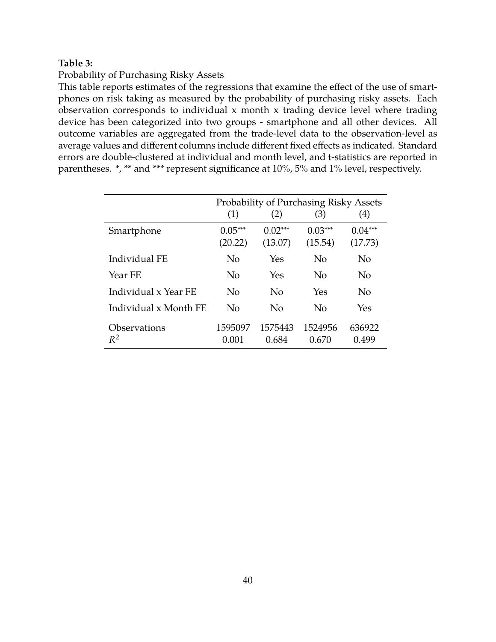## <span id="page-41-0"></span>**Table 3:**

#### Probability of Purchasing Risky Assets

This table reports estimates of the regressions that examine the effect of the use of smartphones on risk taking as measured by the probability of purchasing risky assets. Each observation corresponds to individual x month x trading device level where trading device has been categorized into two groups - smartphone and all other devices. All outcome variables are aggregated from the trade-level data to the observation-level as average values and different columns include different fixed effects as indicated. Standard errors are double-clustered at individual and month level, and t-statistics are reported in parentheses. \*, \*\* and \*\*\* represent significance at 10%, 5% and 1% level, respectively.

|                       |           |           | Probability of Purchasing Risky Assets |           |
|-----------------------|-----------|-----------|----------------------------------------|-----------|
|                       | (1)       | (2)       | (3)                                    | (4)       |
|                       |           |           |                                        |           |
| Smartphone            | $0.05***$ | $0.02***$ | $0.03***$                              | $0.04***$ |
|                       |           |           |                                        |           |
|                       | (20.22)   | (13.07)   | (15.54)                                | (17.73)   |
| Individual FE         | No        | Yes       | No                                     | No        |
|                       |           |           |                                        |           |
| Year FE               | No        | Yes       | No                                     | No        |
|                       |           |           |                                        |           |
| Individual x Year FE  | No        | No        | Yes                                    | No        |
|                       |           |           |                                        |           |
| Individual x Month FE | No        | No        | No                                     | Yes       |
|                       |           |           |                                        |           |
| Observations          | 1595097   | 1575443   | 1524956                                | 636922    |
| $R^2$                 | 0.001     | 0.684     | 0.670                                  | 0.499     |
|                       |           |           |                                        |           |
|                       |           |           |                                        |           |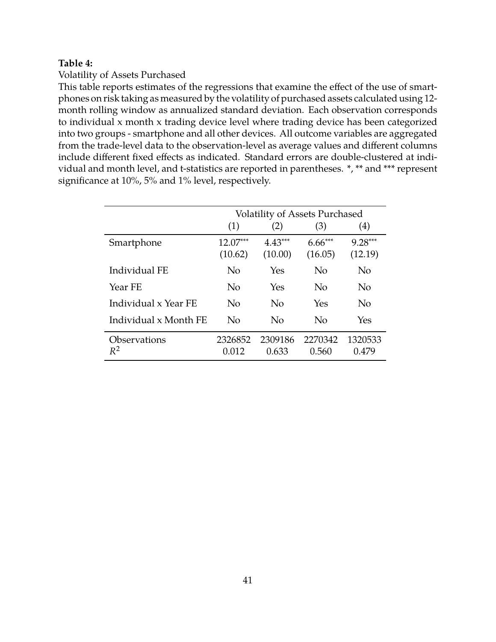## <span id="page-42-0"></span>**Table 4:**

## Volatility of Assets Purchased

This table reports estimates of the regressions that examine the effect of the use of smartphones on risk taking as measured by the volatility of purchased assets calculated using 12 month rolling window as annualized standard deviation. Each observation corresponds to individual x month x trading device level where trading device has been categorized into two groups - smartphone and all other devices. All outcome variables are aggregated from the trade-level data to the observation-level as average values and different columns include different fixed effects as indicated. Standard errors are double-clustered at individual and month level, and t-statistics are reported in parentheses. \*, \*\* and \*\*\* represent significance at 10%, 5% and 1% level, respectively.

|                       |            | <b>Volatility of Assets Purchased</b> |           |           |
|-----------------------|------------|---------------------------------------|-----------|-----------|
|                       | (1)        | (2)                                   | (3)       | (4)       |
| Smartphone            | $12.07***$ | $4.43***$                             | $6.66***$ | $9.28***$ |
|                       | (10.62)    | (10.00)                               | (16.05)   | (12.19)   |
| Individual FE         | No         | Yes                                   | $\rm No$  | No        |
| Year FE               | No         | Yes                                   | $\rm No$  | No        |
| Individual x Year FE  | No         | No                                    | Yes       | No        |
| Individual x Month FE | No         | No                                    | $\rm No$  | Yes       |
| Observations          | 2326852    | 2309186                               | 2270342   | 1320533   |
| $R^2$                 | 0.012      | 0.633                                 | 0.560     | 0.479     |
|                       |            |                                       |           |           |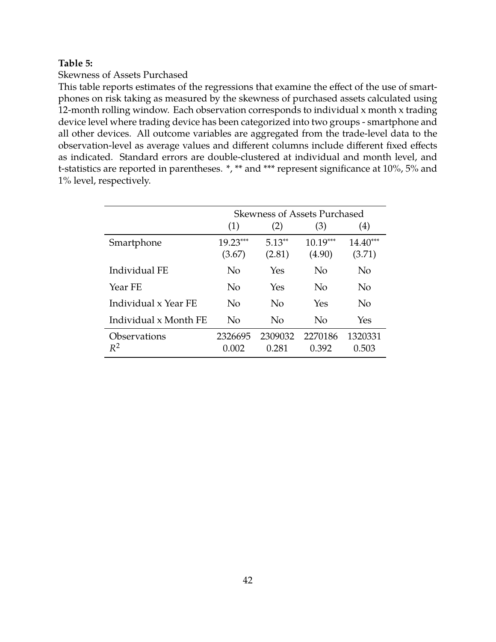## <span id="page-43-0"></span>**Table 5:**

#### Skewness of Assets Purchased

This table reports estimates of the regressions that examine the effect of the use of smartphones on risk taking as measured by the skewness of purchased assets calculated using 12-month rolling window. Each observation corresponds to individual x month x trading device level where trading device has been categorized into two groups - smartphone and all other devices. All outcome variables are aggregated from the trade-level data to the observation-level as average values and different columns include different fixed effects as indicated. Standard errors are double-clustered at individual and month level, and t-statistics are reported in parentheses. \*, \*\* and \*\*\* represent significance at 10%, 5% and 1% level, respectively.

|                       |                | <b>Skewness of Assets Purchased</b> |            |                   |
|-----------------------|----------------|-------------------------------------|------------|-------------------|
|                       | (1)            | (2)                                 | (3)        | $\left( 4\right)$ |
| Smartphone            | 19.23***       | $5.13**$                            | $10.19***$ | $14.40***$        |
|                       | (3.67)         | (2.81)                              | (4.90)     | (3.71)            |
| Individual FE         | No             | Yes                                 | No         | No                |
| Year FE               | No             | Yes                                 | No         | No                |
| Individual x Year FE  | No             | No                                  | Yes        | No                |
| Individual x Month FE | N <sub>0</sub> | No                                  | No         | Yes               |
| Observations          | 2326695        | 2309032                             | 2270186    | 1320331           |
| $R^2$                 | 0.002          | 0.281                               | 0.392      | 0.503             |
|                       |                |                                     |            |                   |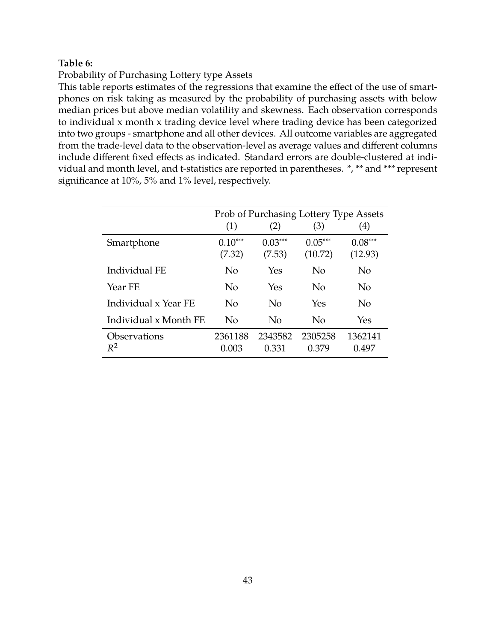## <span id="page-44-0"></span>**Table 6:**

Probability of Purchasing Lottery type Assets

This table reports estimates of the regressions that examine the effect of the use of smartphones on risk taking as measured by the probability of purchasing assets with below median prices but above median volatility and skewness. Each observation corresponds to individual x month x trading device level where trading device has been categorized into two groups - smartphone and all other devices. All outcome variables are aggregated from the trade-level data to the observation-level as average values and different columns include different fixed effects as indicated. Standard errors are double-clustered at individual and month level, and t-statistics are reported in parentheses. \*, \*\* and \*\*\* represent significance at 10%, 5% and 1% level, respectively.

|                       | (1)                 | (2)                 | Prob of Purchasing Lottery Type Assets<br>(3) | (4)                  |
|-----------------------|---------------------|---------------------|-----------------------------------------------|----------------------|
| Smartphone            | $0.10***$<br>(7.32) | $0.03***$<br>(7.53) | $0.05***$<br>(10.72)                          | $0.08***$<br>(12.93) |
| Individual FE         | No                  | Yes                 | No                                            | N <sub>o</sub>       |
| Year FE               | No                  | Yes                 | No                                            | No                   |
| Individual x Year FE  | No                  | No                  | Yes                                           | N <sub>o</sub>       |
| Individual x Month FE | No                  | No                  | No                                            | Yes                  |
| Observations<br>$R^2$ | 2361188<br>0.003    | 2343582<br>0.331    | 2305258<br>0.379                              | 1362141<br>0.497     |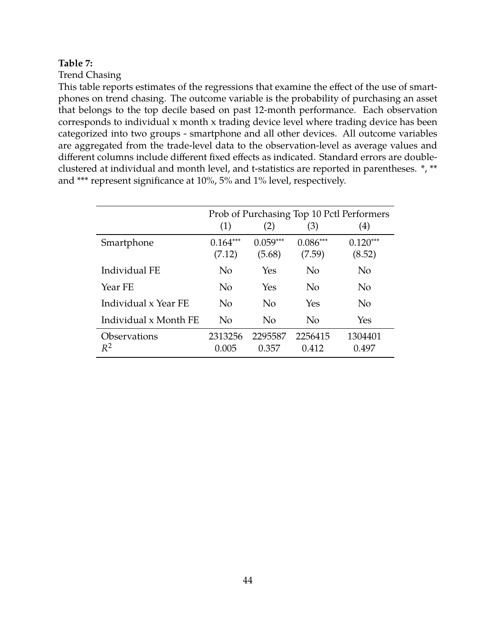#### <span id="page-45-0"></span>**Table 7:**

Trend Chasing

This table reports estimates of the regressions that examine the effect of the use of smartphones on trend chasing. The outcome variable is the probability of purchasing an asset that belongs to the top decile based on past 12-month performance. Each observation corresponds to individual x month x trading device level where trading device has been categorized into two groups - smartphone and all other devices. All outcome variables are aggregated from the trade-level data to the observation-level as average values and different columns include different fixed effects as indicated. Standard errors are doubleclustered at individual and month level, and t-statistics are reported in parentheses. \*, \*\* and \*\*\* represent significance at 10%, 5% and 1% level, respectively.

|                                     |                      |                      |                      | Prob of Purchasing Top 10 Pctl Performers |
|-------------------------------------|----------------------|----------------------|----------------------|-------------------------------------------|
|                                     | (1)                  | (2)                  | (3)                  | $\left( 4\right)$                         |
| Smartphone                          | $0.164***$<br>(7.12) | $0.059***$<br>(5.68) | $0.086***$<br>(7.59) | $0.120***$<br>(8.52)                      |
| Individual FE                       | No                   | Yes                  | N <sub>o</sub>       | No                                        |
| Year FE                             | No                   | Yes                  | N <sub>o</sub>       | No                                        |
| Individual x Year FE                | No                   | $\overline{N}_{0}$   | Yes                  | N <sub>o</sub>                            |
| Individual x Month FE               | No                   | $\rm No$             | N <sub>o</sub>       | Yes                                       |
| <i><b>Observations</b></i><br>$R^2$ | 2313256<br>0.005     | 2295587<br>0.357     | 2256415<br>0.412     | 1304401<br>0.497                          |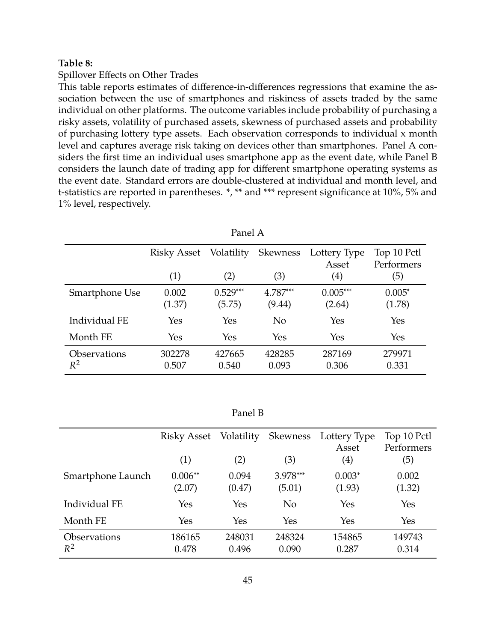#### <span id="page-46-0"></span>**Table 8:**

#### Spillover Effects on Other Trades

This table reports estimates of difference-in-differences regressions that examine the association between the use of smartphones and riskiness of assets traded by the same individual on other platforms. The outcome variables include probability of purchasing a risky assets, volatility of purchased assets, skewness of purchased assets and probability of purchasing lottery type assets. Each observation corresponds to individual x month level and captures average risk taking on devices other than smartphones. Panel A considers the first time an individual uses smartphone app as the event date, while Panel B considers the launch date of trading app for different smartphone operating systems as the event date. Standard errors are double-clustered at individual and month level, and t-statistics are reported in parentheses. \*, \*\* and \*\*\* represent significance at 10%, 5% and 1% level, respectively.

|                | Risky Asset | Volatility | Skewness       | Lottery Type      | Top 10 Pctl |
|----------------|-------------|------------|----------------|-------------------|-------------|
|                |             |            |                | Asset             | Performers  |
|                | (1)         | (2)        | (3)            | $\left( 4\right)$ | (5)         |
| Smartphone Use | 0.002       | $0.529***$ | $4.787***$     | $0.005***$        | $0.005*$    |
|                | (1.37)      | (5.75)     | (9.44)         | (2.64)            | (1.78)      |
| Individual FE  | Yes         | Yes        | N <sub>o</sub> | Yes               | Yes         |
| Month FE       | Yes         | Yes        | Yes            | Yes               | Yes         |
| Observations   | 302278      | 427665     | 428285         | 287169            | 279971      |
| $R^2$          | 0.507       | 0.540      | 0.093          | 0.306             | 0.331       |
|                |             |            |                |                   |             |

| anel' |
|-------|
|       |

|                              | Risky Asset<br>(1)  | Volatility<br>(2) | Skewness<br>(3)      | Lottery Type<br>Asset<br>$\left( 4\right)$ | Top 10 Pctl<br>Performers<br>(5) |
|------------------------------|---------------------|-------------------|----------------------|--------------------------------------------|----------------------------------|
| Smartphone Launch            | $0.006**$<br>(2.07) | 0.094<br>(0.47)   | $3.978***$<br>(5.01) | $0.003*$<br>(1.93)                         | 0.002<br>(1.32)                  |
| Individual FE                | Yes                 | Yes               | N <sub>o</sub>       | Yes                                        | Yes                              |
| Month FE                     | Yes                 | Yes               | Yes                  | Yes                                        | Yes                              |
| <b>Observations</b><br>$R^2$ | 186165<br>0.478     | 248031<br>0.496   | 248324<br>0.090      | 154865<br>0.287                            | 149743<br>0.314                  |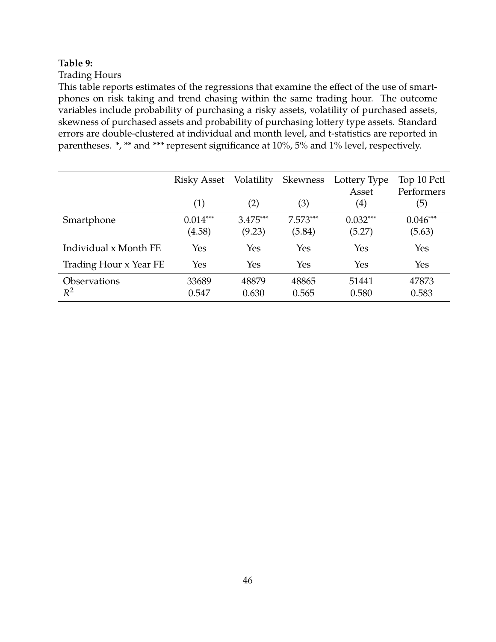# <span id="page-47-0"></span>**Table 9:**

# Trading Hours

This table reports estimates of the regressions that examine the effect of the use of smartphones on risk taking and trend chasing within the same trading hour. The outcome variables include probability of purchasing a risky assets, volatility of purchased assets, skewness of purchased assets and probability of purchasing lottery type assets. Standard errors are double-clustered at individual and month level, and t-statistics are reported in parentheses. \*, \*\* and \*\*\* represent significance at 10%, 5% and 1% level, respectively.

|                              | Risky Asset<br>(1)   | Volatility<br>(2)    | <b>Skewness</b><br>(3) | Lottery Type<br>Asset<br>$\left( 4\right)$ | Top 10 Pctl<br>Performers<br>(5) |
|------------------------------|----------------------|----------------------|------------------------|--------------------------------------------|----------------------------------|
| Smartphone                   | $0.014***$<br>(4.58) | $3.475***$<br>(9.23) | $7.573***$<br>(5.84)   | $0.032***$<br>(5.27)                       | $0.046***$<br>(5.63)             |
| Individual x Month FE        | Yes                  | Yes                  | Yes                    | Yes                                        | Yes                              |
| Trading Hour x Year FE       | Yes                  | Yes                  | Yes                    | Yes                                        | Yes                              |
| <b>Observations</b><br>$R^2$ | 33689<br>0.547       | 48879<br>0.630       | 48865<br>0.565         | 51441<br>0.580                             | 47873<br>0.583                   |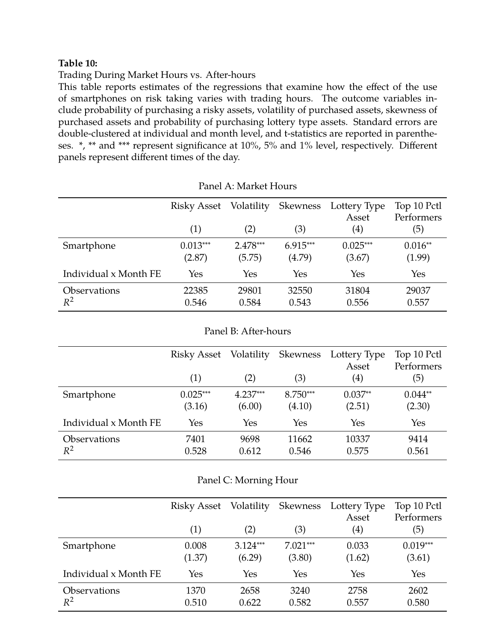## <span id="page-48-0"></span>**Table 10:**

Trading During Market Hours vs. After-hours

This table reports estimates of the regressions that examine how the effect of the use of smartphones on risk taking varies with trading hours. The outcome variables include probability of purchasing a risky assets, volatility of purchased assets, skewness of purchased assets and probability of purchasing lottery type assets. Standard errors are double-clustered at individual and month level, and t-statistics are reported in parentheses. \*, \*\* and \*\*\* represent significance at 10%, 5% and 1% level, respectively. Different panels represent different times of the day.

|                              | Risky Asset          | Volatility           | Skewness             | Lottery Type<br>Asset | Top 10 Pctl<br>Performers |
|------------------------------|----------------------|----------------------|----------------------|-----------------------|---------------------------|
|                              | (1)                  | (2)                  | (3)                  | $\left( 4\right)$     | (5)                       |
| Smartphone                   | $0.013***$<br>(2.87) | $2.478***$<br>(5.75) | $6.915***$<br>(4.79) | $0.025***$<br>(3.67)  | $0.016**$<br>(1.99)       |
| Individual x Month FE        | Yes                  | Yes                  | Yes                  | Yes                   | Yes                       |
| <b>Observations</b><br>$R^2$ | 22385<br>0.546       | 29801<br>0.584       | 32550<br>0.543       | 31804<br>0.556        | 29037<br>0.557            |

#### Panel B: After-hours

|                                     | Risky Asset          | Volatility           | Skewness             | Lottery Type<br>Asset | Top 10 Pctl<br>Performers |
|-------------------------------------|----------------------|----------------------|----------------------|-----------------------|---------------------------|
|                                     | (1)                  | (2)                  | (3)                  | $\left( 4\right)$     | (5)                       |
| Smartphone                          | $0.025***$<br>(3.16) | $4.237***$<br>(6.00) | $8.750***$<br>(4.10) | $0.037**$<br>(2.51)   | $0.044**$<br>(2.30)       |
| Individual x Month FE               | Yes                  | Yes                  | Yes                  | Yes                   | Yes                       |
| <i><b>Observations</b></i><br>$R^2$ | 7401<br>0.528        | 9698<br>0.612        | 11662<br>0.546       | 10337<br>0.575        | 9414<br>0.561             |

|  |  | Panel C: Morning Hour |
|--|--|-----------------------|
|--|--|-----------------------|

|                              | Risky Asset     | Volatility           | Skewness             | Lottery Type<br>Asset | Top 10 Pctl<br>Performers |
|------------------------------|-----------------|----------------------|----------------------|-----------------------|---------------------------|
|                              | (1)             | (2)                  | (3)                  | (4)                   | (5)                       |
| Smartphone                   | 0.008<br>(1.37) | $3.124***$<br>(6.29) | $7.021***$<br>(3.80) | 0.033<br>(1.62)       | $0.019***$<br>(3.61)      |
| Individual x Month FE        | Yes             | Yes                  | Yes                  | Yes                   | Yes                       |
| <b>Observations</b><br>$R^2$ | 1370<br>0.510   | 2658<br>0.622        | 3240<br>0.582        | 2758<br>0.557         | 2602<br>0.580             |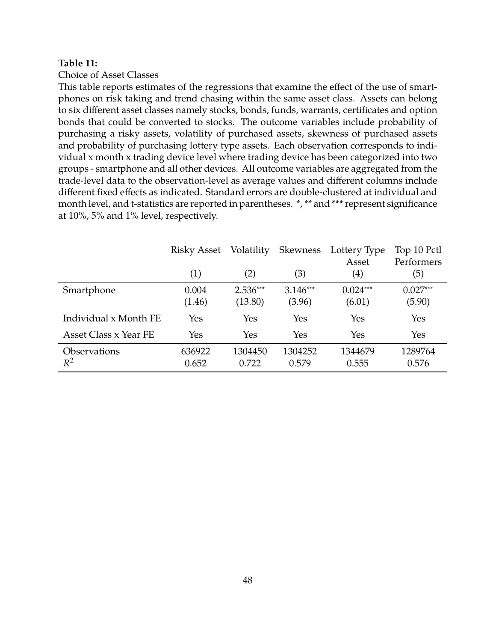#### <span id="page-49-0"></span>**Table 11:**

Choice of Asset Classes

This table reports estimates of the regressions that examine the effect of the use of smartphones on risk taking and trend chasing within the same asset class. Assets can belong to six different asset classes namely stocks, bonds, funds, warrants, certificates and option bonds that could be converted to stocks. The outcome variables include probability of purchasing a risky assets, volatility of purchased assets, skewness of purchased assets and probability of purchasing lottery type assets. Each observation corresponds to individual x month x trading device level where trading device has been categorized into two groups - smartphone and all other devices. All outcome variables are aggregated from the trade-level data to the observation-level as average values and different columns include different fixed effects as indicated. Standard errors are double-clustered at individual and month level, and t-statistics are reported in parentheses. \*, \*\* and \*\*\* represent significance at 10%, 5% and 1% level, respectively.

|                              | Risky Asset<br>(1) | Volatility<br>(2)     | Skewness<br>(3)      | Lottery Type<br>Asset<br>$\left( 4\right)$ | Top 10 Pctl<br>Performers<br>(5) |
|------------------------------|--------------------|-----------------------|----------------------|--------------------------------------------|----------------------------------|
| Smartphone                   | 0.004<br>(1.46)    | $2.536***$<br>(13.80) | $3.146***$<br>(3.96) | $0.024***$<br>(6.01)                       | $0.027***$<br>(5.90)             |
| Individual x Month FE        | Yes                | Yes                   | Yes                  | Yes                                        | Yes                              |
| Asset Class x Year FE        | Yes                | Yes                   | Yes                  | Yes                                        | Yes                              |
| <b>Observations</b><br>$R^2$ | 636922<br>0.652    | 1304450<br>0.722      | 1304252<br>0.579     | 1344679<br>0.555                           | 1289764<br>0.576                 |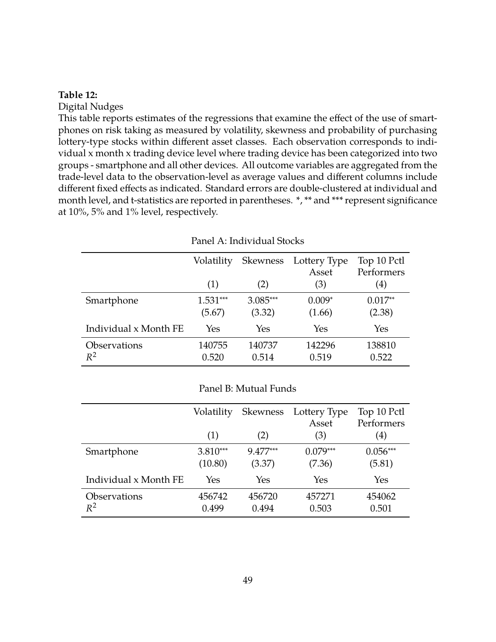#### <span id="page-50-0"></span>**Table 12:**

Digital Nudges

This table reports estimates of the regressions that examine the effect of the use of smartphones on risk taking as measured by volatility, skewness and probability of purchasing lottery-type stocks within different asset classes. Each observation corresponds to individual x month x trading device level where trading device has been categorized into two groups - smartphone and all other devices. All outcome variables are aggregated from the trade-level data to the observation-level as average values and different columns include different fixed effects as indicated. Standard errors are double-clustered at individual and month level, and t-statistics are reported in parentheses. \*, \*\* and \*\*\* represent significance at 10%, 5% and 1% level, respectively.

|                       | Volatility           |                      | Skewness Lottery Type<br>Asset | Top 10 Pctl<br>Performers |
|-----------------------|----------------------|----------------------|--------------------------------|---------------------------|
|                       | (1)                  | (2)                  | (3)                            | (4)                       |
| Smartphone            | $1.531***$<br>(5.67) | $3.085***$<br>(3.32) | $0.009*$<br>(1.66)             | $0.017**$<br>(2.38)       |
| Individual x Month FE | Yes                  | Yes                  | Yes                            | Yes                       |
| Observations<br>$R^2$ | 140755<br>0.520      | 140737<br>0.514      | 142296<br>0.519                | 138810<br>0.522           |

Panel A: Individual Stocks

#### Panel B: Mutual Funds

|                       | Volatility            | <b>Skewness</b>    | Lottery Type<br>Asset | Top 10 Pctl<br>Performers |
|-----------------------|-----------------------|--------------------|-----------------------|---------------------------|
|                       | (1)                   | (2)                | (3)                   | $\left( 4\right)$         |
| Smartphone            | $3.810***$<br>(10.80) | 9.477***<br>(3.37) | $0.079***$<br>(7.36)  | $0.056***$<br>(5.81)      |
| Individual x Month FE | Yes                   | Yes                | Yes                   | Yes                       |
| Observations<br>$R^2$ | 456742<br>0.499       | 456720<br>0.494    | 457271<br>0.503       | 454062<br>0.501           |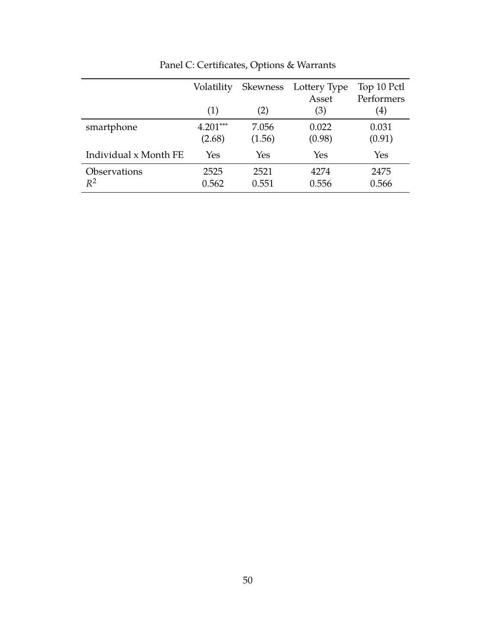|                       | Volatility           | Skewness        | Lottery Type<br>Asset | Top 10 Pctl<br>Performers |
|-----------------------|----------------------|-----------------|-----------------------|---------------------------|
|                       | (1)                  | (2)             | (3)                   | $\left( 4\right)$         |
| smartphone            | $4.201***$<br>(2.68) | 7.056<br>(1.56) | 0.022<br>(0.98)       | 0.031<br>(0.91)           |
| Individual x Month FE | Yes                  | Yes             | Yes                   | Yes                       |
| Observations<br>$R^2$ | 2525<br>0.562        | 2521<br>0.551   | 4274<br>0.556         | 2475<br>0.566             |

Panel C: Certificates, Options & Warrants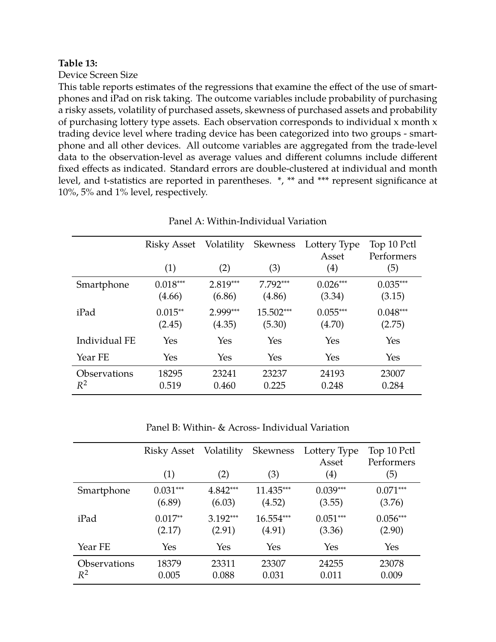## <span id="page-52-0"></span>**Table 13:**

Device Screen Size

This table reports estimates of the regressions that examine the effect of the use of smartphones and iPad on risk taking. The outcome variables include probability of purchasing a risky assets, volatility of purchased assets, skewness of purchased assets and probability of purchasing lottery type assets. Each observation corresponds to individual x month x trading device level where trading device has been categorized into two groups - smartphone and all other devices. All outcome variables are aggregated from the trade-level data to the observation-level as average values and different columns include different fixed effects as indicated. Standard errors are double-clustered at individual and month level, and t-statistics are reported in parentheses. \*, \*\* and \*\*\* represent significance at 10%, 5% and 1% level, respectively.

|                       | Risky Asset          | Volatility           | <b>Skewness</b>      | Lottery Type<br>Asset | Top 10 Pctl<br>Performers |
|-----------------------|----------------------|----------------------|----------------------|-----------------------|---------------------------|
|                       | (1)                  | (2)                  | (3)                  | $\left( 4\right)$     | (5)                       |
| Smartphone            | $0.018***$<br>(4.66) | $2.819***$<br>(6.86) | $7.792***$<br>(4.86) | $0.026***$<br>(3.34)  | $0.035***$<br>(3.15)      |
| iPad                  | $0.015**$<br>(2.45)  | 2.999***<br>(4.35)   | 15.502***<br>(5.30)  | $0.055***$<br>(4.70)  | $0.048***$<br>(2.75)      |
| Individual FE         | Yes                  | Yes                  | Yes                  | Yes                   | Yes                       |
| Year FE               | Yes                  | Yes                  | Yes                  | Yes                   | Yes                       |
| Observations<br>$R^2$ | 18295<br>0.519       | 23241<br>0.460       | 23237<br>0.225       | 24193<br>0.248        | 23007<br>0.284            |
|                       |                      |                      |                      |                       |                           |

Panel A: Within-Individual Variation

Panel B: Within- & Across- Individual Variation

|                     | Risky Asset<br>(1) | Volatility<br>(2) | Skewness<br>(3) | Lottery Type<br>Asset<br>$\left( 4\right)$ | Top 10 Pctl<br>Performers<br>(5) |
|---------------------|--------------------|-------------------|-----------------|--------------------------------------------|----------------------------------|
| Smartphone          | $0.031***$         | $4.842***$        | 11.435***       | $0.039***$                                 | $0.071***$                       |
|                     | (6.89)             | (6.03)            | (4.52)          | (3.55)                                     | (3.76)                           |
| iPad                | $0.017**$          | $3.192***$        | 16.554***       | $0.051***$                                 | $0.056***$                       |
|                     | (2.17)             | (2.91)            | (4.91)          | (3.36)                                     | (2.90)                           |
| Year FE             | Yes                | Yes               | Yes             | Yes                                        | Yes                              |
| <b>Observations</b> | 18379              | 23311             | 23307           | 24255                                      | 23078                            |
| $R^2$               | 0.005              | 0.088             | 0.031           | 0.011                                      | 0.009                            |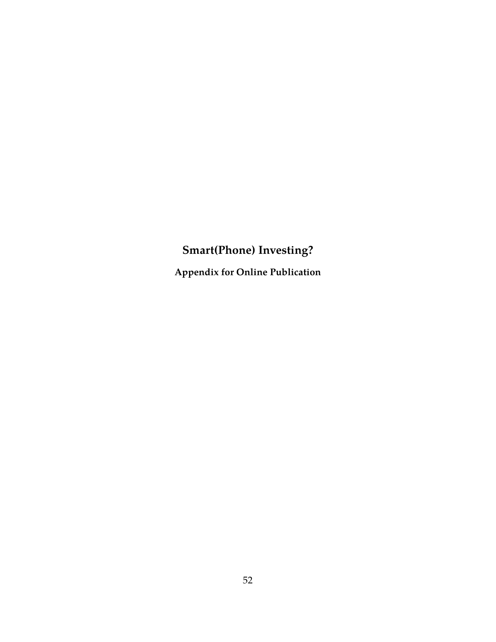# **Smart(Phone) Investing?**

**Appendix for Online Publication**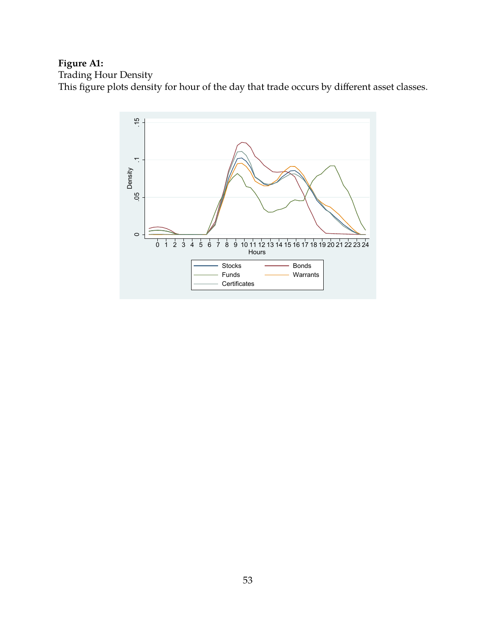# **Figure A1:**

Trading Hour Density

This figure plots density for hour of the day that trade occurs by different asset classes.

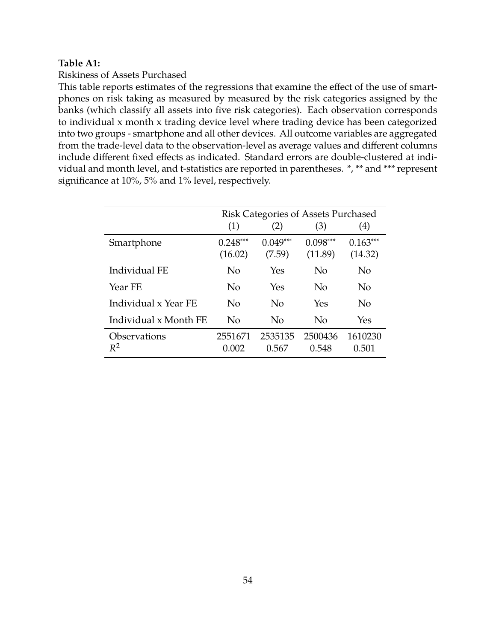## **Table A1:**

#### Riskiness of Assets Purchased

This table reports estimates of the regressions that examine the effect of the use of smartphones on risk taking as measured by measured by the risk categories assigned by the banks (which classify all assets into five risk categories). Each observation corresponds to individual x month x trading device level where trading device has been categorized into two groups - smartphone and all other devices. All outcome variables are aggregated from the trade-level data to the observation-level as average values and different columns include different fixed effects as indicated. Standard errors are double-clustered at individual and month level, and t-statistics are reported in parentheses. \*, \*\* and \*\*\* represent significance at 10%, 5% and 1% level, respectively.

|                       | Risk Categories of Assets Purchased |                      |                       |                       |
|-----------------------|-------------------------------------|----------------------|-----------------------|-----------------------|
|                       | (1)                                 | (2)                  | (3)                   | $\left( 4\right)$     |
| Smartphone            | $0.248***$<br>(16.02)               | $0.049***$<br>(7.59) | $0.098***$<br>(11.89) | $0.163***$<br>(14.32) |
| Individual FE         | No                                  | Yes                  | No                    | No                    |
| Year FE               | No                                  | Yes                  | No                    | No                    |
| Individual x Year FE  | No                                  | No                   | Yes                   | No                    |
| Individual x Month FE | No                                  | No                   | No                    | Yes                   |
| Observations<br>$R^2$ | 2551671<br>0.002                    | 2535135<br>0.567     | 2500436<br>0.548      | 1610230<br>0.501      |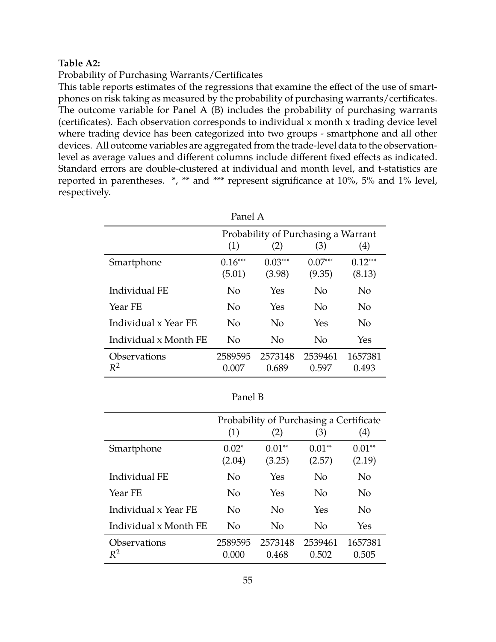#### **Table A2:**

Probability of Purchasing Warrants/Certificates

This table reports estimates of the regressions that examine the effect of the use of smartphones on risk taking as measured by the probability of purchasing warrants/certificates. The outcome variable for Panel A (B) includes the probability of purchasing warrants (certificates). Each observation corresponds to individual x month x trading device level where trading device has been categorized into two groups - smartphone and all other devices. All outcome variables are aggregated from the trade-level data to the observationlevel as average values and different columns include different fixed effects as indicated. Standard errors are double-clustered at individual and month level, and t-statistics are reported in parentheses. \*, \*\* and \*\*\* represent significance at 10%, 5% and 1% level, respectively.

| Panel A                             |                                     |                     |                     |                     |  |  |
|-------------------------------------|-------------------------------------|---------------------|---------------------|---------------------|--|--|
|                                     | Probability of Purchasing a Warrant |                     |                     |                     |  |  |
|                                     | (1)<br>(2)<br>(4)<br>(3)            |                     |                     |                     |  |  |
| Smartphone                          | $0.16***$<br>(5.01)                 | $0.03***$<br>(3.98) | $0.07***$<br>(9.35) | $0.12***$<br>(8.13) |  |  |
| Individual FE                       | N <sub>o</sub>                      | Yes                 | No                  | No                  |  |  |
| Year FE                             | No                                  | Yes                 | No                  | No                  |  |  |
| Individual x Year FE                | N <sub>0</sub>                      | No                  | Yes                 | No                  |  |  |
| Individual x Month FE               | No                                  | No                  | N <sub>o</sub>      | Yes                 |  |  |
| <i><b>Observations</b></i><br>$R^2$ | 2589595<br>0.007                    | 2573148<br>0.689    | 2539461<br>0.597    | 1657381<br>0.493    |  |  |

|                       | Probability of Purchasing a Certificate |                    |                    |                    |
|-----------------------|-----------------------------------------|--------------------|--------------------|--------------------|
|                       | (1)                                     | (2)                | (3)                | (4)                |
| Smartphone            | $0.02*$<br>(2.04)                       | $0.01**$<br>(3.25) | $0.01**$<br>(2.57) | $0.01**$<br>(2.19) |
| Individual FE         | $\overline{N}_{0}$                      | Yes                | No                 | No                 |
| Year FE               | $\overline{N}_{0}$                      | Yes                | No                 | No                 |
| Individual x Year FE  | $\overline{N}_{0}$                      | No                 | Yes                | No                 |
| Individual x Month FE | No                                      | No                 | No                 | Yes                |
| Observations<br>$R^2$ | 2589595<br>0.000                        | 2573148<br>0.468   | 2539461<br>0.502   | 1657381<br>0.505   |
|                       |                                         |                    |                    |                    |